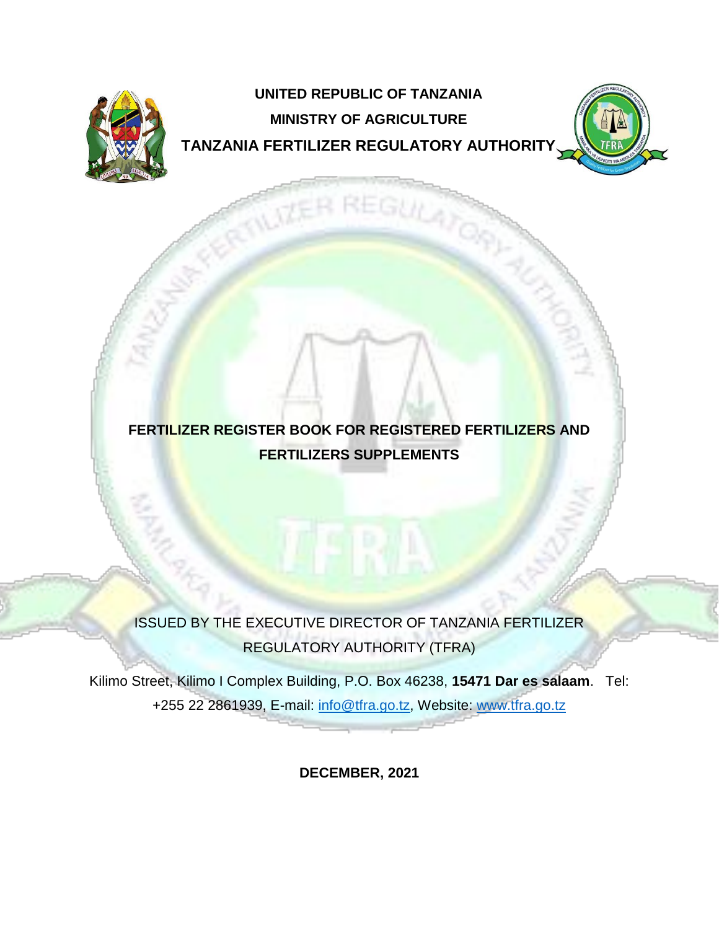

# **UNITED REPUBLIC OF TANZANIA MINISTRY OF AGRICULTURE TANZANIA FERTILIZER REGULATORY AUTHORITY**



## **FERTILIZER REGISTER BOOK FOR REGISTERED FERTILIZERS AND FERTILIZERS SUPPLEMENTS**

ISSUED BY THE EXECUTIVE DIRECTOR OF TANZANIA FERTILIZER REGULATORY AUTHORITY (TFRA)

Kilimo Street, Kilimo I Complex Building, P.O. Box 46238, **15471 Dar es salaam**. Tel: +255 22 2861939, E-mail: info@tfra.go.tz, Website: [www.tfra.go.tz](http://www.tfra.go.tz/)

**DECEMBER, 2021**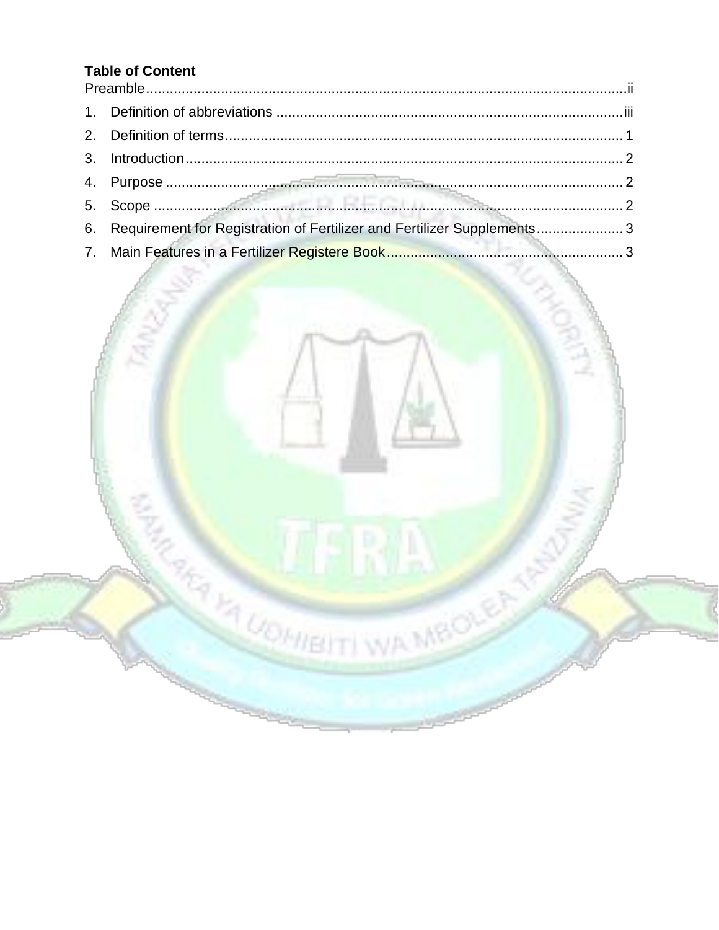## **Table of Content**

| 6. Requirement for Registration of Fertilizer and Fertilizer Supplements 3 |  |
|----------------------------------------------------------------------------|--|
|                                                                            |  |

**EXAMPLE 11 INTERNATIONAL PROPERTY WAS MEDICAL**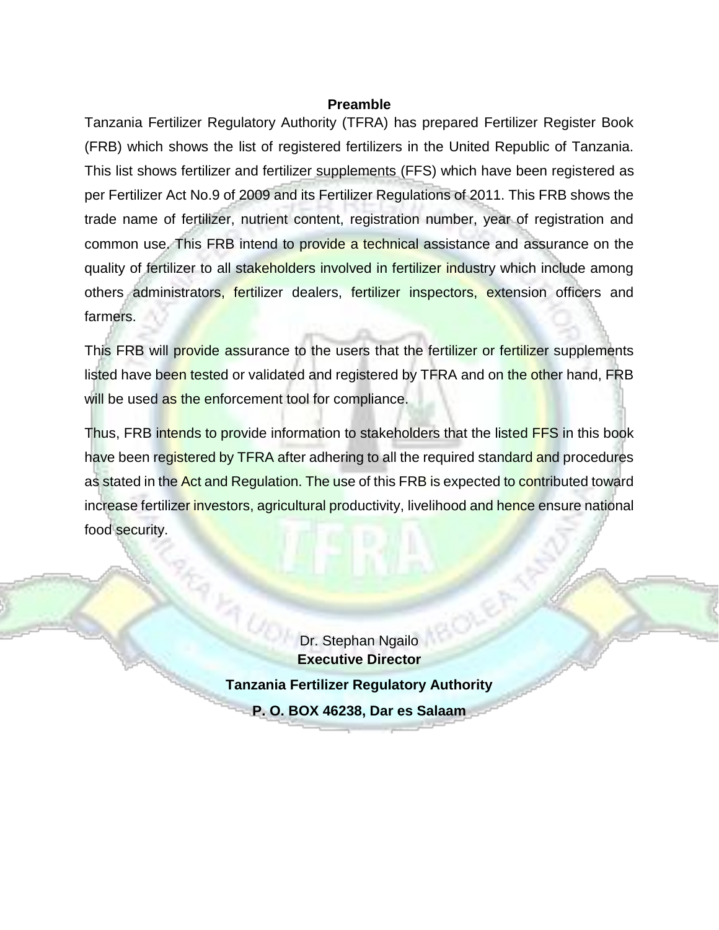#### **Preamble**

<span id="page-2-0"></span>Tanzania Fertilizer Regulatory Authority (TFRA) has prepared Fertilizer Register Book (FRB) which shows the list of registered fertilizers in the United Republic of Tanzania. This list shows fertilizer and fertilizer supplements (FFS) which have been registered as per Fertilizer Act No.9 of 2009 and its Fertilizer Regulations of 2011. This FRB shows the trade name of fertilizer, nutrient content, registration number, year of registration and common use. This FRB intend to provide a technical assistance and assurance on the quality of fertilizer to all stakeholders involved in fertilizer industry which include among others administrators, fertilizer dealers, fertilizer inspectors, extension officers and farmers.

This FRB will provide assurance to the users that the fertilizer or fertilizer supplements listed have been tested or validated and registered by TFRA and on the other hand, FRB will be used as the enforcement tool for compliance.

Thus, FRB intends to provide information to stakeholders that the listed FFS in this book have been registered by TFRA after adhering to all the required standard and procedures as stated in the Act and Regulation. The use of this FRB is expected to contributed toward increase fertilizer investors, agricultural productivity, livelihood and hence ensure national food security.

> Dr. Stephan Ngailo **Executive Director Tanzania Fertilizer Regulatory Authority P. O. BOX 46238, Dar es Salaam**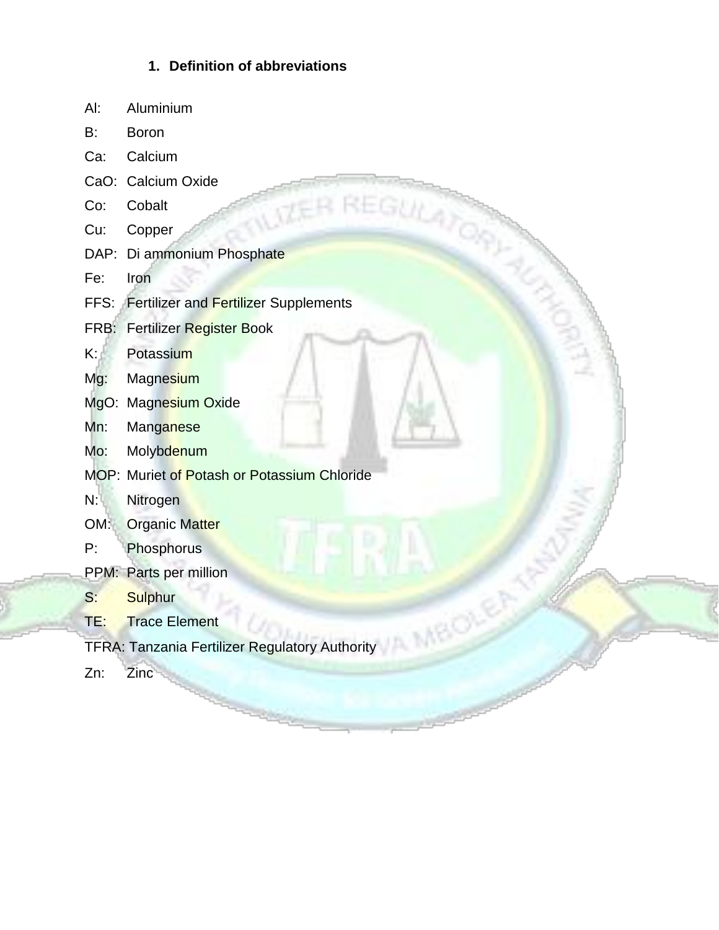## **1. Definition of abbreviations**

- <span id="page-3-0"></span>Al: Aluminium
- B: Boron
- Ca: Calcium
- CaO: Calcium Oxide
- Co: Cobalt
- Cu: Copper
- DAP: Di ammonium Phosphate
- Fe: Iron
- Ca.<br>
Ca.<br>
Co: Cobalt<br>
Cu: Copper<br>
DAP: Di ammonium Phosphate<br>
Fe: Iron<br>
FFS: Fertilizer and Fertilizer Supplements
- FRB: Fertilizer Register Book
- K: Potassium
- Mg: Magnesium
- MgO: Magnesium Oxide
- Mn: Manganese
- Mo: Molybdenum
- MOP: Muriet of Potash or Potassium Chloride
- N: Nitrogen
- OM: Organic Matter
- P: Phosphorus
- PPM: Parts per million
- S: Sulphur
- TE: Trace Element
- TFRA: Tanzania Fertilizer Regulatory Authority
- Zn: Zinc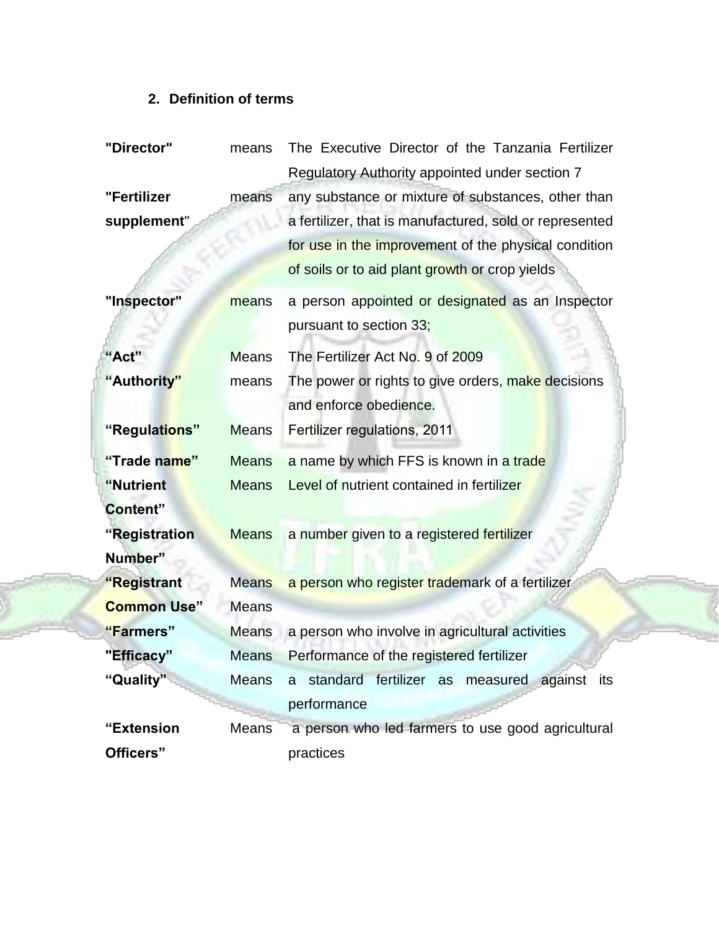## **2. Definition of terms**

<span id="page-4-0"></span>

| "Director"         | means        | The Executive Director of the Tanzania Fertilizer       |
|--------------------|--------------|---------------------------------------------------------|
|                    |              | Regulatory Authority appointed under section 7          |
| "Fertilizer        | means        | any substance or mixture of substances, other than      |
| supplement"        |              | a fertilizer, that is manufactured, sold or represented |
|                    |              | for use in the improvement of the physical condition    |
|                    |              | of soils or to aid plant growth or crop yields          |
| "Inspector"        | means        | a person appointed or designated as an Inspector        |
|                    |              | pursuant to section 33;                                 |
| "Act"              | <b>Means</b> | The Fertilizer Act No. 9 of 2009                        |
| "Authority"        | means        | The power or rights to give orders, make decisions      |
|                    |              | and enforce obedience.                                  |
| "Regulations"      | <b>Means</b> | Fertilizer regulations, 2011                            |
| "Trade name"       | <b>Means</b> | a name by which FFS is known in a trade                 |
| "Nutrient          | <b>Means</b> | Level of nutrient contained in fertilizer               |
| Content"           |              |                                                         |
| "Registration      | <b>Means</b> | a number given to a registered fertilizer               |
| Number"            |              |                                                         |
| "Registrant        | <b>Means</b> | a person who register trademark of a fertilizer         |
| <b>Common Use"</b> | <b>Means</b> |                                                         |
| "Farmers"          | <b>Means</b> | a person who involve in agricultural activities         |
| "Efficacy"         | <b>Means</b> | Performance of the registered fertilizer                |
| "Quality"          | <b>Means</b> | a standard fertilizer as measured against its           |
|                    |              | performance                                             |
| "Extension         | Means        | a person who led farmers to use good agricultural       |
| Officers"          |              | practices                                               |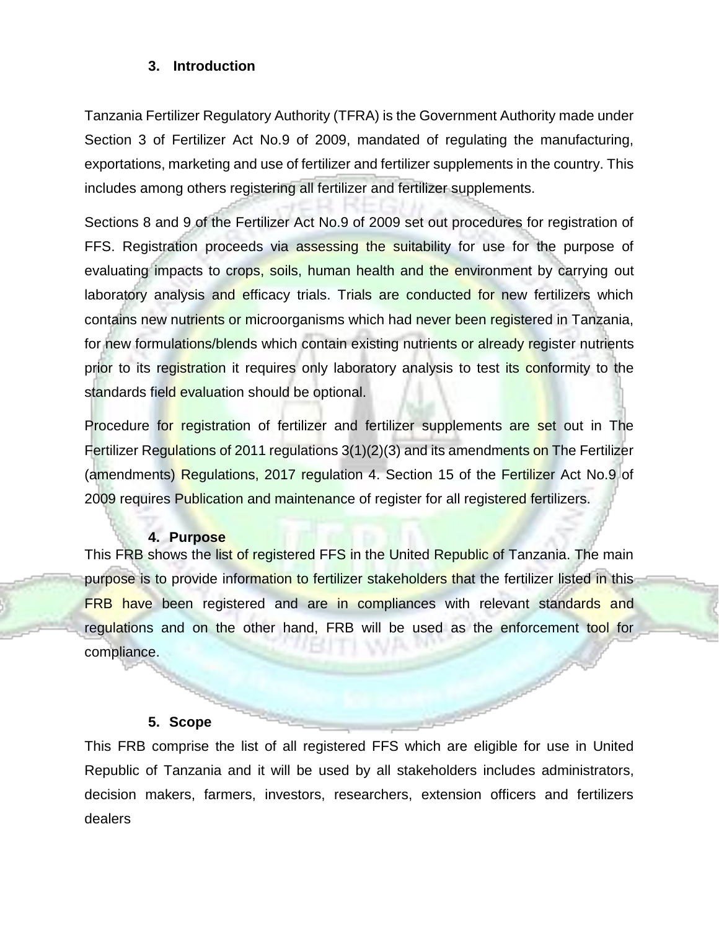#### <span id="page-5-0"></span>**3. Introduction**

Tanzania Fertilizer Regulatory Authority (TFRA) is the Government Authority made under Section 3 of Fertilizer Act No.9 of 2009, mandated of regulating the manufacturing, exportations, marketing and use of fertilizer and fertilizer supplements in the country. This includes among others registering all fertilizer and fertilizer supplements.

Sections 8 and 9 of the Fertilizer Act No.9 of 2009 set out procedures for registration of FFS. Registration proceeds via assessing the suitability for use for the purpose of evaluating impacts to crops, soils, human health and the environment by carrying out laboratory analysis and efficacy trials. Trials are conducted for new fertilizers which contains new nutrients or microorganisms which had never been registered in Tanzania, for new formulations/blends which contain existing nutrients or already register nutrients prior to its registration it requires only laboratory analysis to test its conformity to the standards field evaluation should be optional.

Procedure for registration of fertilizer and fertilizer supplements are set out in The Fertilizer Regulations of 2011 regulations 3(1)(2)(3) and its amendments on The Fertilizer (amendments) Regulations, 2017 regulation 4. Section 15 of the Fertilizer Act No.9 of 2009 requires Publication and maintenance of register for all registered fertilizers.

#### **4. Purpose**

<span id="page-5-1"></span>This FRB shows the list of registered FFS in the United Republic of Tanzania. The main purpose is to provide information to fertilizer stakeholders that the fertilizer listed in this FRB have been registered and are in compliances with relevant standards and regulations and on the other hand, FRB will be used as the enforcement tool for compliance.

#### **5. Scope**

<span id="page-5-2"></span>This FRB comprise the list of all registered FFS which are eligible for use in United Republic of Tanzania and it will be used by all stakeholders includes administrators, decision makers, farmers, investors, researchers, extension officers and fertilizers dealers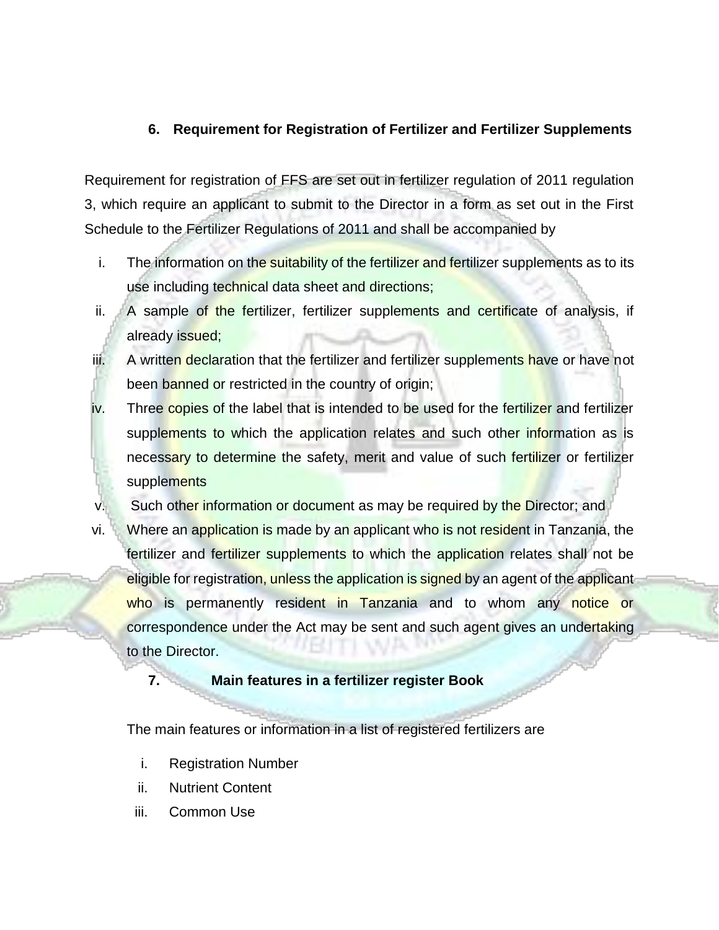### <span id="page-6-0"></span>**6. Requirement for Registration of Fertilizer and Fertilizer Supplements**

Requirement for registration of FFS are set out in fertilizer regulation of 2011 regulation 3, which require an applicant to submit to the Director in a form as set out in the First Schedule to the Fertilizer Regulations of 2011 and shall be accompanied by

- i. The information on the suitability of the fertilizer and fertilizer supplements as to its use including technical data sheet and directions;
- ii. A sample of the fertilizer, fertilizer supplements and certificate of analysis, if already issued;
- iii. A written declaration that the fertilizer and fertilizer supplements have or have not been banned or restricted in the country of origin;
- iv. Three copies of the label that is intended to be used for the fertilizer and fertilizer supplements to which the application relates and such other information as is necessary to determine the safety, merit and value of such fertilizer or fertilizer supplements
- v. Such other information or document as may be required by the Director; and
- vi. Where an application is made by an applicant who is not resident in Tanzania, the fertilizer and fertilizer supplements to which the application relates shall not be eligible for registration, unless the application is signed by an agent of the applicant who is permanently resident in Tanzania and to whom any notice or correspondence under the Act may be sent and such agent gives an undertaking to the Director.

#### <span id="page-6-1"></span>**7. Main features in a fertilizer register Book**

The main features or information in a list of registered fertilizers are

- i. Registration Number
- ii. Nutrient Content
- iii. Common Use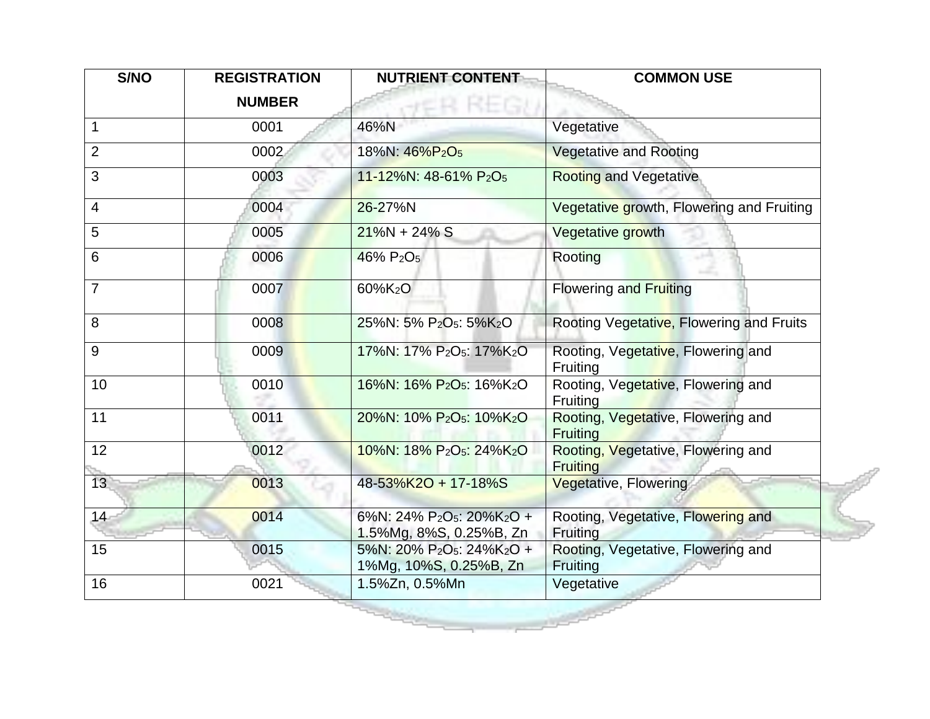| S/NO            | <b>REGISTRATION</b><br><b>NUMBER</b> | <b>NUTRIENT CONTENT</b>                                                                   | <b>COMMON USE</b>                                     |
|-----------------|--------------------------------------|-------------------------------------------------------------------------------------------|-------------------------------------------------------|
| 1               | 0001                                 | 46%N                                                                                      | Vegetative                                            |
| $\overline{2}$  | 0002                                 | 18%N: 46%P <sub>2</sub> O <sub>5</sub>                                                    | <b>Vegetative and Rooting</b>                         |
| 3               | 0003                                 | 11-12%N: 48-61% P2O <sub>5</sub>                                                          | <b>Rooting and Vegetative</b>                         |
| $\overline{4}$  | 0004                                 | 26-27%N                                                                                   | Vegetative growth, Flowering and Fruiting             |
| 5               | 0005                                 | $21\%N + 24\%S$                                                                           | Vegetative growth                                     |
| $6\phantom{1}6$ | 0006                                 | 46% P <sub>2</sub> O <sub>5</sub>                                                         | Rooting                                               |
| $\overline{7}$  | 0007                                 | 60%K <sub>2</sub> O                                                                       | <b>Flowering and Fruiting</b>                         |
| 8               | 0008                                 | 25%N: 5% P <sub>2</sub> O <sub>5</sub> : 5%K <sub>2</sub> O                               | Rooting Vegetative, Flowering and Fruits              |
| 9               | 0009                                 | 17%N: 17% P <sub>2</sub> O <sub>5</sub> : 17%K <sub>2</sub> O                             | Rooting, Vegetative, Flowering and<br>Fruiting        |
| 10              | 0010                                 | 16%N: 16% P <sub>2</sub> O <sub>5</sub> : 16%K <sub>2</sub> O                             | Rooting, Vegetative, Flowering and<br>Fruiting        |
| 11              | 0011                                 | 20%N: 10% P <sub>2</sub> O <sub>5</sub> : 10%K <sub>2</sub> O                             | Rooting, Vegetative, Flowering and<br>Fruiting        |
| 12              | 0012                                 | 10%N: 18% P <sub>2</sub> O <sub>5</sub> : 24%K <sub>2</sub> O                             | Rooting, Vegetative, Flowering and<br><b>Fruiting</b> |
| 13              | 0013                                 | 48-53%K2O + 17-18%S                                                                       | <b>Vegetative, Flowering</b>                          |
| 14              | 0014                                 | 6%N: 24% P <sub>2</sub> O <sub>5</sub> : 20%K <sub>2</sub> O +<br>1.5%Mg, 8%S, 0.25%B, Zn | Rooting, Vegetative, Flowering and<br>Fruiting        |
| 15              | 0015                                 | 5%N: 20% P <sub>2</sub> O <sub>5</sub> : 24%K <sub>2</sub> O +<br>1%Mg, 10%S, 0.25%B, Zn  | Rooting, Vegetative, Flowering and<br>Fruiting        |
| 16              | 0021                                 | 1.5%Zn, 0.5%Mn                                                                            | Vegetative                                            |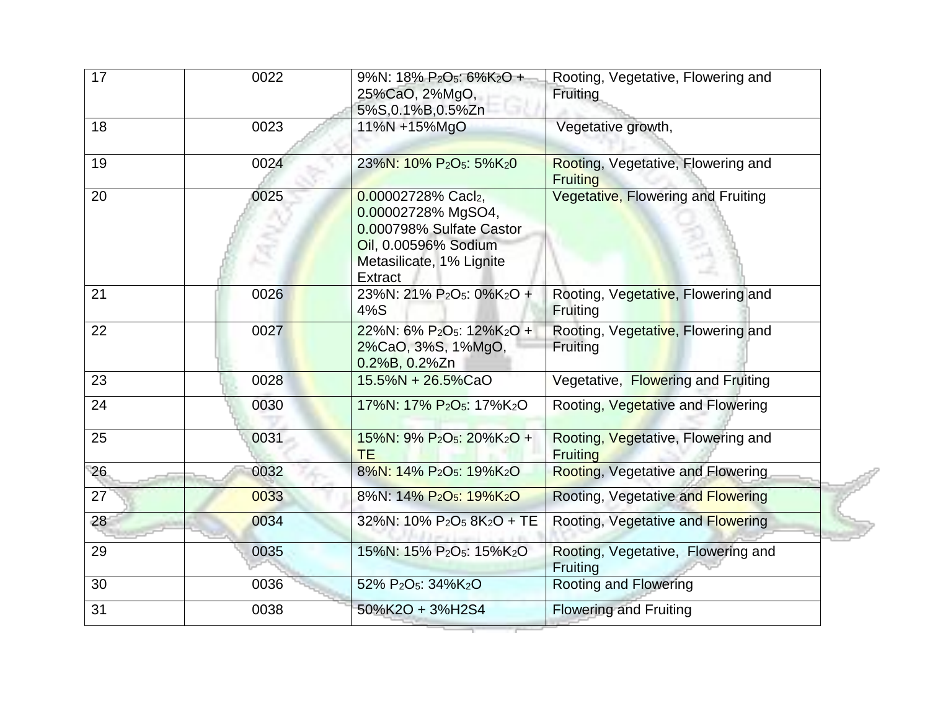| 17 | 0022 | 9%N: 18% P <sub>2</sub> O <sub>5</sub> : 6%K <sub>2</sub> O +<br>25%CaO, 2%MgO,<br>5%S,0.1%B,0.5%Zn                                        | Rooting, Vegetative, Flowering and<br>Fruiting        |
|----|------|--------------------------------------------------------------------------------------------------------------------------------------------|-------------------------------------------------------|
| 18 | 0023 | 11%N +15%MgO                                                                                                                               | Vegetative growth,                                    |
| 19 | 0024 | 23%N: 10% P <sub>2</sub> O <sub>5</sub> : 5%K <sub>2</sub> 0                                                                               | Rooting, Vegetative, Flowering and<br><b>Fruiting</b> |
| 20 | 0025 | 0.00002728% Cacl2,<br>0.00002728% MgSO4,<br>0.000798% Sulfate Castor<br>Oil, 0.00596% Sodium<br>Metasilicate, 1% Lignite<br><b>Extract</b> | Vegetative, Flowering and Fruiting                    |
| 21 | 0026 | 23%N: 21% P <sub>2</sub> O <sub>5</sub> : 0%K <sub>2</sub> O +<br>4%S                                                                      | Rooting, Vegetative, Flowering and<br>Fruiting        |
| 22 | 0027 | 22%N: 6% P <sub>2</sub> O <sub>5</sub> : 12%K <sub>2</sub> O +<br>2%CaO, 3%S, 1%MgO,<br>$0.2\%B$ , $0.2\%Zn$                               | Rooting, Vegetative, Flowering and<br><b>Fruiting</b> |
| 23 | 0028 | 15.5%N + 26.5%CaO                                                                                                                          | Vegetative, Flowering and Fruiting                    |
| 24 | 0030 | 17%N: 17% P <sub>2</sub> O <sub>5</sub> : 17%K <sub>2</sub> O                                                                              | Rooting, Vegetative and Flowering                     |
| 25 | 0031 | 15%N: 9% P <sub>2</sub> O <sub>5</sub> : 20%K <sub>2</sub> O +<br><b>TE</b>                                                                | Rooting, Vegetative, Flowering and<br><b>Fruiting</b> |
| 26 | 0032 | 8%N: 14% P <sub>2</sub> O <sub>5</sub> : 19%K <sub>2</sub> O                                                                               | <b>Rooting, Vegetative and Flowering</b>              |
| 27 | 0033 | 8%N: 14% P <sub>2</sub> O <sub>5</sub> : 19%K <sub>2</sub> O                                                                               | Rooting, Vegetative and Flowering                     |
| 28 | 0034 | 32%N: 10% $P_2O_5$ 8K <sub>2</sub> O + TE                                                                                                  | Rooting, Vegetative and Flowering                     |
| 29 | 0035 | 15%N: 15% P <sub>2</sub> O <sub>5</sub> : 15%K <sub>2</sub> O                                                                              | Rooting, Vegetative, Flowering and<br>Fruiting        |
| 30 | 0036 | 52% P <sub>2</sub> O <sub>5</sub> : 34%K <sub>2</sub> O                                                                                    | <b>Rooting and Flowering</b>                          |
| 31 | 0038 | 50%K2O + 3%H2S4                                                                                                                            | <b>Flowering and Fruiting</b>                         |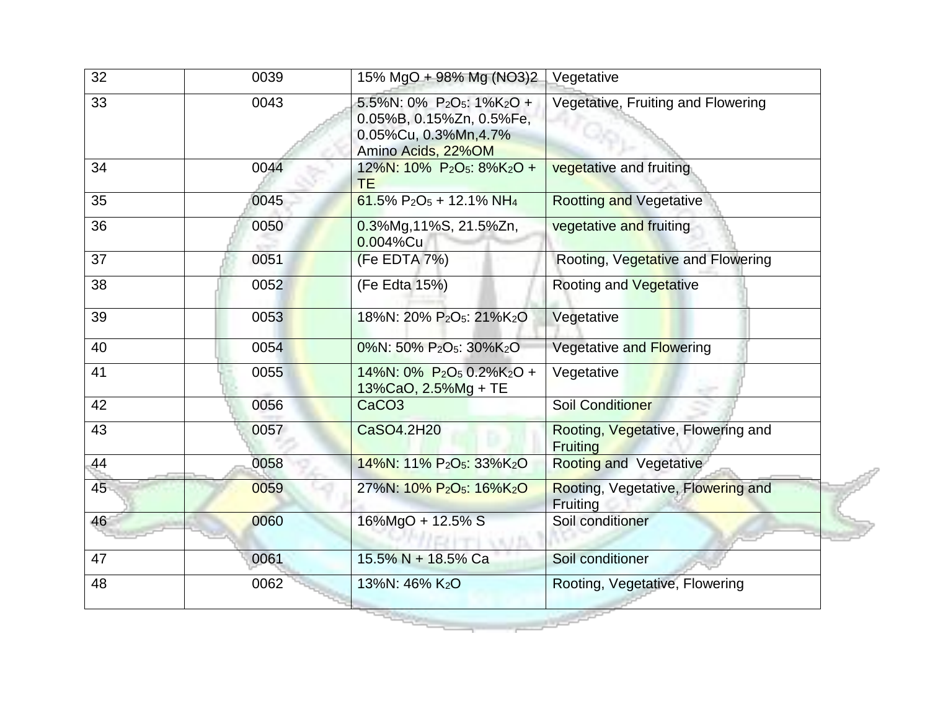| 32 | 0039 | 15% MgO + 98% Mg (NO3)2                                                                                                      | Vegetative                                     |
|----|------|------------------------------------------------------------------------------------------------------------------------------|------------------------------------------------|
| 33 | 0043 | 5.5%N: 0% P2O <sub>5</sub> : 1%K <sub>2</sub> O +<br>0.05%B, 0.15%Zn, 0.5%Fe,<br>0.05%Cu, 0.3%Mn, 4.7%<br>Amino Acids, 22%OM | Vegetative, Fruiting and Flowering             |
| 34 | 0044 | 12%N: 10% P <sub>2</sub> O <sub>5</sub> : 8%K <sub>2</sub> O +<br><b>TE</b>                                                  | vegetative and fruiting                        |
| 35 | 0045 | 61.5% $P_2O_5 + 12.1\% NH_4$                                                                                                 | <b>Rootting and Vegetative</b>                 |
| 36 | 0050 | 0.3%Mg, 11%S, 21.5%Zn,<br>0.004%Cu                                                                                           | vegetative and fruiting                        |
| 37 | 0051 | (Fe EDTA 7%)                                                                                                                 | Rooting, Vegetative and Flowering              |
| 38 | 0052 | (Fe Edta 15%)                                                                                                                | <b>Rooting and Vegetative</b>                  |
| 39 | 0053 | 18%N: 20% P <sub>2</sub> O <sub>5</sub> : 21%K <sub>2</sub> O                                                                | Vegetative                                     |
| 40 | 0054 | 0%N: 50% P <sub>2</sub> O <sub>5</sub> : 30%K <sub>2</sub> O                                                                 | Vegetative and Flowering                       |
| 41 | 0055 | 14%N: 0% P <sub>2</sub> O <sub>5</sub> 0.2%K <sub>2</sub> O +<br>13%CaO, 2.5%Mg + TE                                         | Vegetative                                     |
| 42 | 0056 | CaCO <sub>3</sub>                                                                                                            | <b>Soil Conditioner</b>                        |
| 43 | 0057 | CaSO4.2H20                                                                                                                   | Rooting, Vegetative, Flowering and<br>Fruiting |
| 44 | 0058 | 14%N: 11% P <sub>2</sub> O <sub>5</sub> : 33%K <sub>2</sub> O                                                                | <b>Rooting and Vegetative</b>                  |
| 45 | 0059 | 27%N: 10% P <sub>2</sub> O <sub>5</sub> : 16%K <sub>2</sub> O                                                                | Rooting, Vegetative, Flowering and<br>Fruiting |
| 46 | 0060 | 16%MgO + 12.5% S                                                                                                             | Soil conditioner                               |
| 47 | 0061 | 15.5% N + 18.5% Ca                                                                                                           | Soil conditioner                               |
| 48 | 0062 | 13%N: 46% K2O                                                                                                                | Rooting, Vegetative, Flowering                 |
|    |      |                                                                                                                              |                                                |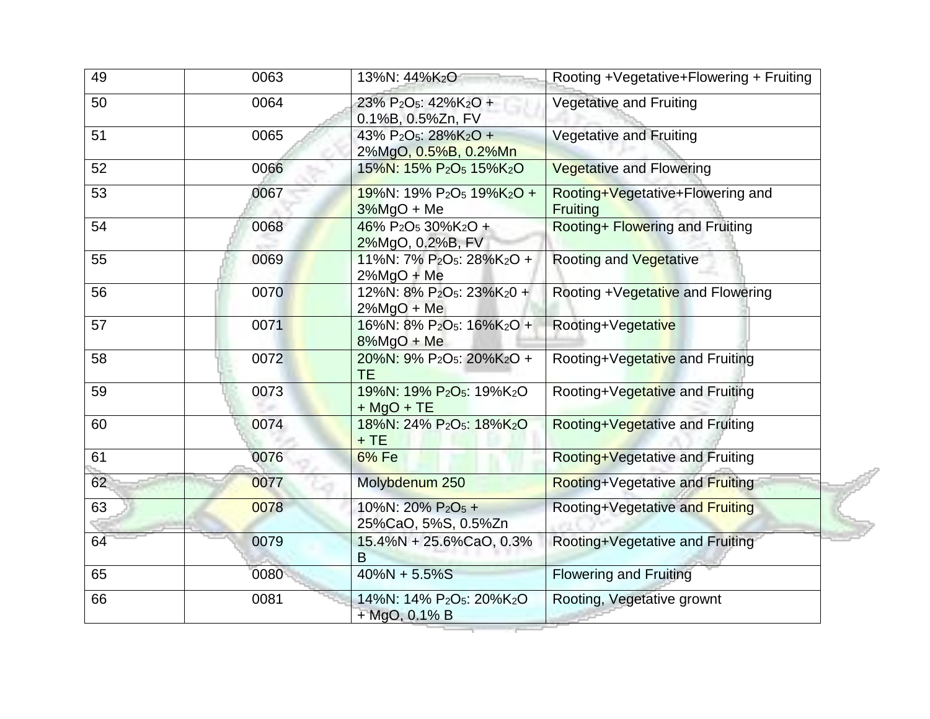| 49 | 0063 | 13%N: 44%K <sub>2</sub> O                                                           | Rooting +Vegetative+Flowering + Fruiting            |
|----|------|-------------------------------------------------------------------------------------|-----------------------------------------------------|
| 50 | 0064 | 23% P <sub>2</sub> O <sub>5</sub> : 42%K <sub>2</sub> O +<br>0.1%B, 0.5%Zn, FV      | <b>Vegetative and Fruiting</b>                      |
| 51 | 0065 | 43% P <sub>2</sub> O <sub>5</sub> : 28%K <sub>2</sub> O +<br>2%MgO, 0.5%B, 0.2%Mn   | Vegetative and Fruiting                             |
| 52 | 0066 | 15%N: 15% P <sub>2</sub> O <sub>5</sub> 15%K <sub>2</sub> O                         | <b>Vegetative and Flowering</b>                     |
| 53 | 0067 | $19\%$ N: 19% P <sub>2</sub> O <sub>5</sub> 19%K <sub>2</sub> O +<br>$3\%$ MgO + Me | Rooting+Vegetative+Flowering and<br><b>Fruiting</b> |
| 54 | 0068 | 46% P <sub>2</sub> O <sub>5</sub> 30%K <sub>2</sub> O +<br>2%MgO, 0.2%B, FV         | Rooting+ Flowering and Fruiting                     |
| 55 | 0069 | 11%N: 7% P <sub>2</sub> O <sub>5</sub> : 28%K <sub>2</sub> O +<br>$2\%$ MgO + Me    | <b>Rooting and Vegetative</b>                       |
| 56 | 0070 | 12%N: 8% P <sub>2</sub> O <sub>5</sub> : 23%K <sub>2</sub> 0 +<br>$2\%$ MgO + Me    | Rooting +Vegetative and Flowering                   |
| 57 | 0071 | 16%N: 8% P <sub>2</sub> O <sub>5</sub> : 16%K <sub>2</sub> O +<br>$8\%$ MgO + Me    | Rooting+Vegetative                                  |
| 58 | 0072 | 20%N: 9% P <sub>2</sub> O <sub>5</sub> : 20%K <sub>2</sub> O +<br><b>TE</b>         | Rooting+Vegetative and Fruiting                     |
| 59 | 0073 | 19%N: 19% P <sub>2</sub> O <sub>5</sub> : 19%K <sub>2</sub> O<br>$+$ MgO + TE       | Rooting+Vegetative and Fruiting                     |
| 60 | 0074 | 18%N: 24% P <sub>2</sub> O <sub>5</sub> : 18%K <sub>2</sub> O<br>$+TE$              | Rooting+Vegetative and Fruiting                     |
| 61 | 0076 | 6% Fe                                                                               | Rooting+Vegetative and Fruiting                     |
| 62 | 0077 | Molybdenum 250                                                                      | Rooting+Vegetative and Fruiting                     |
| 63 | 0078 | 10%N: 20% P <sub>2</sub> O <sub>5</sub> +<br>25%CaO, 5%S, 0.5%Zn                    | Rooting+Vegetative and Fruiting                     |
| 64 | 0079 | 15.4%N + 25.6%CaO, 0.3%<br>B                                                        | Rooting+Vegetative and Fruiting                     |
| 65 | 0080 | $40\%N + 5.5\%S$                                                                    | <b>Flowering and Fruiting</b>                       |
| 66 | 0081 | 14%N: 14% P <sub>2</sub> O <sub>5</sub> : 20%K <sub>2</sub> O<br>+ MgO, 0.1% B      | Rooting, Vegetative grownt                          |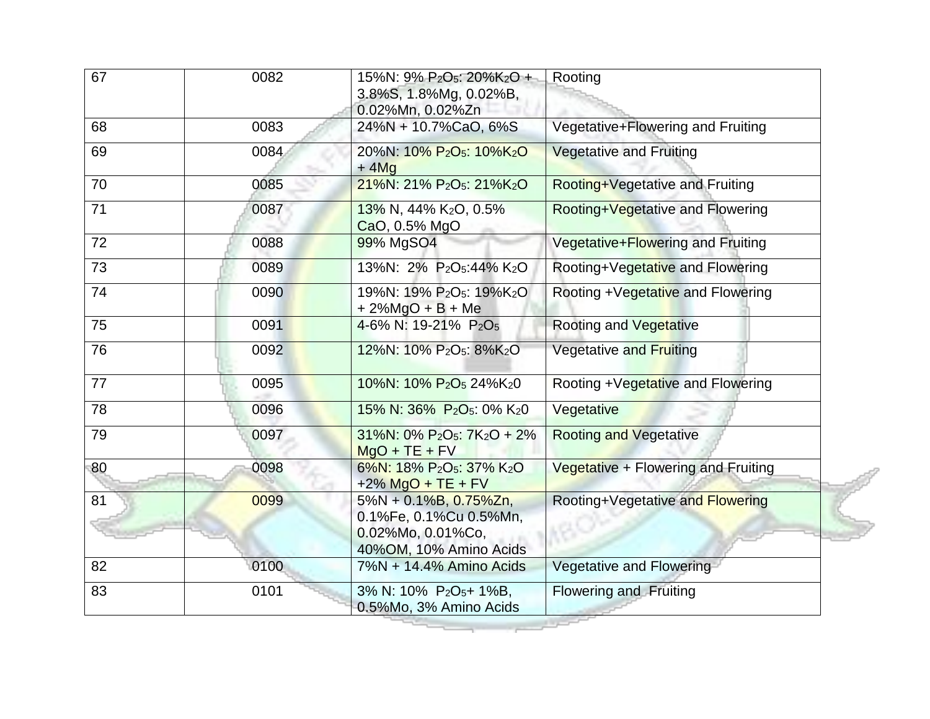| 67 | 0082 | 15%N: 9% P <sub>2</sub> O <sub>5</sub> : 20%K <sub>2</sub> O +<br>3.8%S, 1.8%Mg, 0.02%B,<br>0.02%Mn, 0.02%Zn | Rooting                             |
|----|------|--------------------------------------------------------------------------------------------------------------|-------------------------------------|
| 68 | 0083 | 24%N + 10.7%CaO, 6%S                                                                                         | Vegetative+Flowering and Fruiting   |
| 69 | 0084 | 20%N: 10% P <sub>2</sub> O <sub>5</sub> : 10%K <sub>2</sub> O<br>$+4Mg$                                      | <b>Vegetative and Fruiting</b>      |
| 70 | 0085 | 21%N: 21% P <sub>2</sub> O <sub>5</sub> : 21%K <sub>2</sub> O                                                | Rooting+Vegetative and Fruiting     |
| 71 | 0087 | 13% N, 44% K2O, 0.5%<br>CaO, 0.5% MgO                                                                        | Rooting+Vegetative and Flowering    |
| 72 | 0088 | 99% MgSO4                                                                                                    | Vegetative+Flowering and Fruiting   |
| 73 | 0089 | 13%N: 2% P <sub>2</sub> O <sub>5</sub> :44% K <sub>2</sub> O                                                 | Rooting+Vegetative and Flowering    |
| 74 | 0090 | 19%N: 19% P <sub>2</sub> O <sub>5</sub> : 19%K <sub>2</sub> O<br>$+2\%$ MgO + B + Me                         | Rooting +Vegetative and Flowering   |
| 75 | 0091 | 4-6% N: 19-21% P <sub>2</sub> O <sub>5</sub>                                                                 | <b>Rooting and Vegetative</b>       |
| 76 | 0092 | 12%N: 10% P <sub>2</sub> O <sub>5</sub> : 8%K <sub>2</sub> O                                                 | <b>Vegetative and Fruiting</b>      |
| 77 | 0095 | 10%N: 10% P <sub>2</sub> O <sub>5</sub> 24%K <sub>2</sub> 0                                                  | Rooting +Vegetative and Flowering   |
| 78 | 0096 | 15% N: 36% P <sub>2</sub> O <sub>5</sub> : 0% K <sub>2</sub> 0                                               | Vegetative                          |
| 79 | 0097 | $31\%$ N: 0% P <sub>2</sub> O <sub>5</sub> : 7K <sub>2</sub> O + 2%<br>$MqO + TE + FV$                       | <b>Rooting and Vegetative</b>       |
| 80 | 0098 | 6%N: 18% P <sub>2</sub> O <sub>5</sub> : 37% K <sub>2</sub> O<br>$+2\%$ MgO + TE + FV                        | Vegetative + Flowering and Fruiting |
| 81 | 0099 | $5\%N + 0.1\%B$ , 0.75%Zn,<br>0.1%Fe, 0.1%Cu 0.5%Mn,<br>0.02%Mo, 0.01%Co,<br>40%OM, 10% Amino Acids          | Rooting+Vegetative and Flowering    |
| 82 | 0100 | 7%N + 14.4% Amino Acids                                                                                      | <b>Vegetative and Flowering</b>     |
| 83 | 0101 | 3% N: 10% P <sub>2</sub> O <sub>5</sub> +1%B,<br>0.5%Mo, 3% Amino Acids                                      | <b>Flowering and Fruiting</b>       |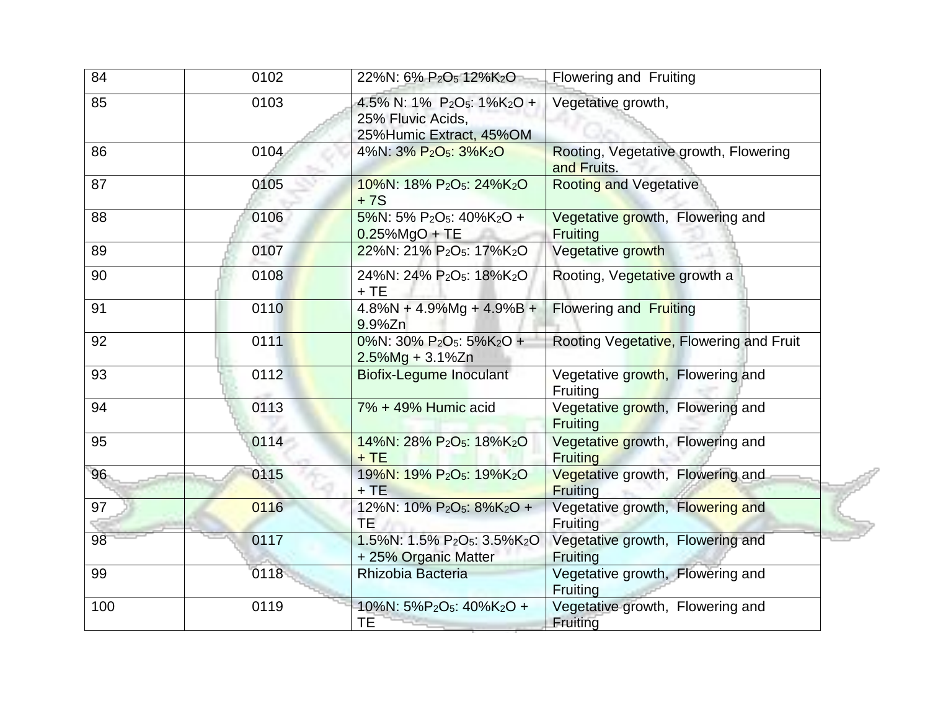| 84  | 0102 | 22%N: 6% P <sub>2</sub> O <sub>5</sub> 12%K <sub>2</sub> O                                                        | Flowering and Fruiting                               |
|-----|------|-------------------------------------------------------------------------------------------------------------------|------------------------------------------------------|
| 85  | 0103 | 4.5% N: 1% P <sub>2</sub> O <sub>5</sub> : 1%K <sub>2</sub> O +<br>25% Fluvic Acids,<br>25% Humic Extract, 45% OM | Vegetative growth,                                   |
| 86  | 0104 | 4%N: 3% P <sub>2</sub> O <sub>5</sub> : 3%K <sub>2</sub> O                                                        | Rooting, Vegetative growth, Flowering<br>and Fruits. |
| 87  | 0105 | 10%N: 18% P <sub>2</sub> O <sub>5</sub> : 24%K <sub>2</sub> O<br>$+7S$                                            | <b>Rooting and Vegetative</b>                        |
| 88  | 0106 | 5%N: 5% P <sub>2</sub> O <sub>5</sub> : $40\%$ K <sub>2</sub> O +<br>$0.25\%$ MgO + TE                            | Vegetative growth, Flowering and<br><b>Fruiting</b>  |
| 89  | 0107 | 22%N: 21% P <sub>2</sub> O <sub>5</sub> : 17%K <sub>2</sub> O                                                     | Vegetative growth                                    |
| 90  | 0108 | 24%N: 24% P <sub>2</sub> O <sub>5</sub> : 18%K <sub>2</sub> O<br>$+TE$                                            | Rooting, Vegetative growth a                         |
| 91  | 0110 | $4.8\%$ N + $4.9\%$ Mg + $4.9\%$ B +<br>9.9%Zn                                                                    | <b>Flowering and Fruiting</b>                        |
| 92  | 0111 | 0%N: 30% P <sub>2</sub> O <sub>5</sub> : 5%K <sub>2</sub> O +<br>$2.5\%$ Mg + 3.1%Zn                              | Rooting Vegetative, Flowering and Fruit              |
| 93  | 0112 | <b>Biofix-Legume Inoculant</b>                                                                                    | Vegetative growth, Flowering and<br>Fruiting         |
| 94  | 0113 | 7% + 49% Humic acid                                                                                               | Vegetative growth, Flowering and<br><b>Fruiting</b>  |
| 95  | 0114 | 14%N: 28% P <sub>2</sub> O <sub>5</sub> : 18%K <sub>2</sub> O<br>$+TE$                                            | Vegetative growth, Flowering and<br><b>Fruiting</b>  |
| 96  | 0115 | 19%N: 19% P <sub>2</sub> O <sub>5</sub> : 19%K <sub>2</sub> O<br>$+TE$                                            | Vegetative growth, Flowering and<br>Fruiting         |
| 97  | 0116 | 12%N: 10% P <sub>2</sub> O <sub>5</sub> : 8%K <sub>2</sub> O +<br>TE.                                             | Vegetative growth, Flowering and<br>Fruiting         |
| 98  | 0117 | 1.5%N: 1.5% P <sub>2</sub> O <sub>5</sub> : 3.5%K <sub>2</sub> O<br>+ 25% Organic Matter                          | Vegetative growth, Flowering and<br><b>Fruiting</b>  |
| 99  | 0118 | Rhizobia Bacteria                                                                                                 | Vegetative growth, Flowering and<br>Fruiting         |
| 100 | 0119 | 10%N: 5%P <sub>2</sub> O <sub>5</sub> : 40%K <sub>2</sub> O +<br><b>TE</b>                                        | Vegetative growth, Flowering and<br>Fruiting         |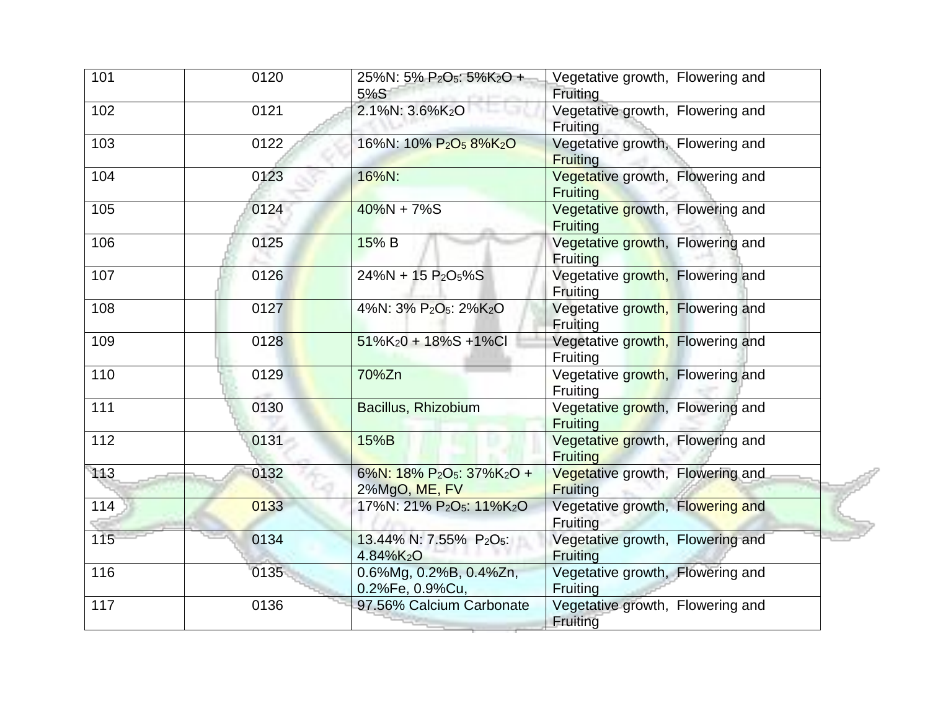| 101 | 0120 | 25%N: 5% P <sub>2</sub> O <sub>5</sub> : 5%K <sub>2</sub> O +<br>5%S            | Vegetative growth, Flowering and<br>Fruiting        |
|-----|------|---------------------------------------------------------------------------------|-----------------------------------------------------|
| 102 | 0121 | 2.1%N: 3.6%K2O                                                                  | Vegetative growth, Flowering and<br>Fruiting        |
| 103 | 0122 | 16%N: 10% P <sub>2</sub> O <sub>5</sub> 8%K <sub>2</sub> O                      | Vegetative growth, Flowering and<br><b>Fruiting</b> |
| 104 | 0123 | 16%N:                                                                           | Vegetative growth, Flowering and<br><b>Fruiting</b> |
| 105 | 0124 | $40\%N + 7\%S$                                                                  | Vegetative growth, Flowering and<br><b>Fruiting</b> |
| 106 | 0125 | 15% B                                                                           | Vegetative growth, Flowering and<br><b>Fruiting</b> |
| 107 | 0126 | 24%N + 15 P <sub>2</sub> O <sub>5</sub> %S                                      | Vegetative growth, Flowering and<br>Fruiting        |
| 108 | 0127 | 4%N: 3% P <sub>2</sub> O <sub>5</sub> : 2%K <sub>2</sub> O                      | Vegetative growth, Flowering and<br>Fruiting        |
| 109 | 0128 | $51\%K_20 + 18\%S + 1\%CI$                                                      | Vegetative growth, Flowering and<br>Fruiting        |
| 110 | 0129 | 70%Zn                                                                           | Vegetative growth, Flowering and<br>Fruiting        |
| 111 | 0130 | Bacillus, Rhizobium                                                             | Vegetative growth, Flowering and<br><b>Fruiting</b> |
| 112 | 0131 | 15%B                                                                            | Vegetative growth, Flowering and<br><b>Fruiting</b> |
| 113 | 0132 | 6%N: 18% P <sub>2</sub> O <sub>5</sub> : 37%K <sub>2</sub> O +<br>2%MgO, ME, FV | Vegetative growth, Flowering and<br><b>Fruiting</b> |
| 114 | 0133 | 17%N: 21% P <sub>2</sub> O <sub>5</sub> : 11%K <sub>2</sub> O                   | Vegetative growth, Flowering and<br>Fruiting        |
| 115 | 0134 | 13.44% N: 7.55% P <sub>2</sub> O <sub>5</sub> :<br>4.84%K <sub>2</sub> O        | Vegetative growth, Flowering and<br>Fruiting        |
| 116 | 0135 | 0.6%Mg, 0.2%B, 0.4%Zn,<br>0.2%Fe, 0.9%Cu,                                       | Vegetative growth, Flowering and<br>Fruiting        |
| 117 | 0136 | 97.56% Calcium Carbonate                                                        | Vegetative growth, Flowering and<br>Fruiting        |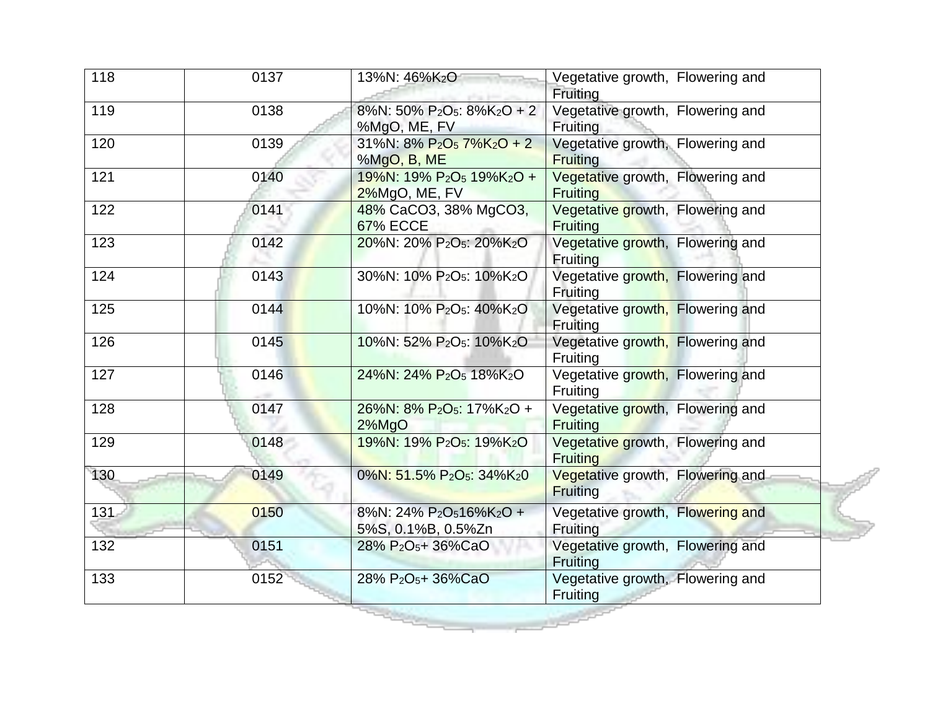| 118 | 0137 | 13%N: 46%K <sub>2</sub> O                                                          | Vegetative growth, Flowering and<br>Fruiting        |
|-----|------|------------------------------------------------------------------------------------|-----------------------------------------------------|
| 119 | 0138 | 8%N: 50% P <sub>2</sub> O <sub>5</sub> : 8%K <sub>2</sub> O + 2<br>%MgO, ME, FV    | Vegetative growth, Flowering and<br>Fruiting        |
| 120 | 0139 | 31%N: $8\% P_2O_5 7\% K_2O + 2$<br>%MgO, B, ME                                     | Vegetative growth, Flowering and<br><b>Fruiting</b> |
| 121 | 0140 | 19%N: 19% P <sub>2</sub> O <sub>5</sub> 19%K <sub>2</sub> O +<br>2%MgO, ME, FV     | Vegetative growth, Flowering and<br><b>Fruiting</b> |
| 122 | 0141 | 48% CaCO3, 38% MgCO3,<br><b>67% ECCE</b>                                           | Vegetative growth, Flowering and<br><b>Fruiting</b> |
| 123 | 0142 | 20%N: 20% P <sub>2</sub> O <sub>5</sub> : 20%K <sub>2</sub> O                      | Vegetative growth, Flowering and<br><b>Fruiting</b> |
| 124 | 0143 | 30%N: 10% P <sub>2</sub> O <sub>5</sub> : 10%K <sub>2</sub> O                      | Vegetative growth, Flowering and<br>Fruiting        |
| 125 | 0144 | 10%N: 10% P <sub>2</sub> O <sub>5</sub> : 40%K <sub>2</sub> O                      | Vegetative growth, Flowering and<br><b>Fruiting</b> |
| 126 | 0145 | 10%N: 52% P <sub>2</sub> O <sub>5</sub> : 10%K <sub>2</sub> O                      | Vegetative growth, Flowering and<br><b>Fruiting</b> |
| 127 | 0146 | 24%N: 24% P <sub>2</sub> O <sub>5</sub> 18%K <sub>2</sub> O                        | Vegetative growth, Flowering and<br><b>Fruiting</b> |
| 128 | 0147 | 26%N: 8% P <sub>2</sub> O <sub>5</sub> : 17%K <sub>2</sub> O +<br>$2\%$ MgO        | Vegetative growth, Flowering and<br><b>Fruiting</b> |
| 129 | 0148 | 19%N: 19% P <sub>2</sub> O <sub>5</sub> : 19%K <sub>2</sub> O                      | Vegetative growth, Flowering and<br><b>Fruiting</b> |
| 130 | 0149 | 0%N: 51.5% P <sub>2</sub> O <sub>5</sub> : 34%K <sub>2</sub> 0                     | Vegetative growth, Flowering and<br><b>Fruiting</b> |
| 131 | 0150 | 8%N: 24% P <sub>2</sub> O <sub>5</sub> 16%K <sub>2</sub> O +<br>5%S, 0.1%B, 0.5%Zn | Vegetative growth, Flowering and<br>Fruiting        |
| 132 | 0151 | 28% P <sub>2</sub> O <sub>5</sub> +36%CaO                                          | Vegetative growth, Flowering and<br>Fruiting        |
| 133 | 0152 | 28% P <sub>2</sub> O <sub>5</sub> + 36%CaO                                         | Vegetative growth, Flowering and<br>Fruiting        |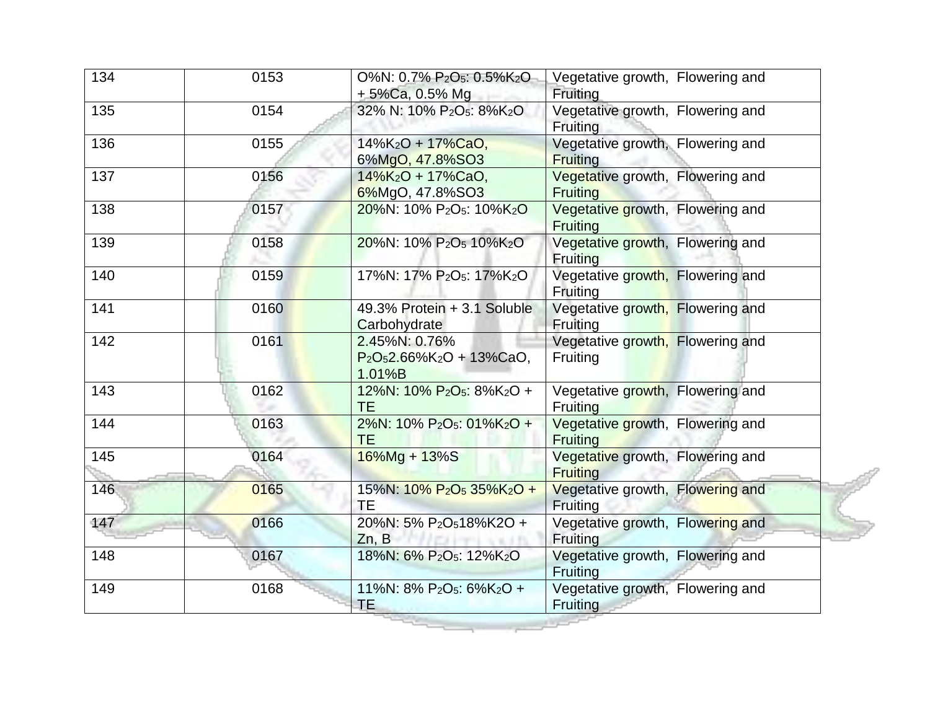| 134 | 0153 | O%N: 0.7% P <sub>2</sub> O <sub>5</sub> : 0.5%K <sub>2</sub> O<br>$+5\%$ Ca, 0.5% Mg | Vegetative growth, Flowering and<br>Fruiting        |
|-----|------|--------------------------------------------------------------------------------------|-----------------------------------------------------|
| 135 | 0154 | 32% N: 10% P <sub>2</sub> O <sub>5</sub> : 8%K <sub>2</sub> O                        | Vegetative growth, Flowering and<br>Fruiting        |
| 136 | 0155 | 14%K <sub>2</sub> O + 17%CaO,<br>6%MgO, 47.8%SO3                                     | Vegetative growth, Flowering and<br><b>Fruiting</b> |
| 137 | 0156 | 14%K <sub>2</sub> O + 17%CaO,<br>6%MgO, 47.8%SO3                                     | Vegetative growth, Flowering and<br><b>Fruiting</b> |
| 138 | 0157 | 20%N: 10% P <sub>2</sub> O <sub>5</sub> : 10%K <sub>2</sub> O                        | Vegetative growth, Flowering and<br><b>Fruiting</b> |
| 139 | 0158 | 20%N: 10% P <sub>2</sub> O <sub>5</sub> 10%K <sub>2</sub> O                          | Vegetative growth, Flowering and<br><b>Fruiting</b> |
| 140 | 0159 | 17%N: 17% P <sub>2</sub> O <sub>5</sub> : 17%K <sub>2</sub> O                        | Vegetative growth, Flowering and<br>Fruiting        |
| 141 | 0160 | 49.3% Protein + 3.1 Soluble<br>Carbohydrate                                          | Vegetative growth, Flowering and<br>Fruiting        |
| 142 | 0161 | 2.45%N: 0.76%<br>$P_2O_52.66\%K_2O + 13\%CaO,$<br>1.01%B                             | Vegetative growth, Flowering and<br>Fruiting        |
| 143 | 0162 | 12%N: 10% P <sub>2</sub> O <sub>5</sub> : 8%K <sub>2</sub> O +<br><b>TE</b>          | Vegetative growth, Flowering and<br><b>Fruiting</b> |
| 144 | 0163 | 2%N: 10% P <sub>2</sub> O <sub>5</sub> : 01%K <sub>2</sub> O +<br><b>TE</b>          | Vegetative growth, Flowering and<br><b>Fruiting</b> |
| 145 | 0164 | $16\%$ Mg + $13\%$ S                                                                 | Vegetative growth, Flowering and<br><b>Fruiting</b> |
| 146 | 0165 | 15%N: 10% P <sub>2</sub> O <sub>5</sub> 35%K <sub>2</sub> O +<br><b>TE</b>           | Vegetative growth, Flowering and<br>Fruiting        |
| 147 | 0166 | 20%N: 5% P <sub>2</sub> O <sub>5</sub> 18%K2O +<br>Zn, B                             | Vegetative growth, Flowering and<br>Fruiting        |
| 148 | 0167 | 18%N: 6% P <sub>2</sub> O <sub>5</sub> : 12%K <sub>2</sub> O                         | Vegetative growth, Flowering and<br>Fruiting        |
| 149 | 0168 | 11%N: $8\%$ P <sub>2</sub> O <sub>5</sub> : $6\%$ K <sub>2</sub> O +<br>TE.          | Vegetative growth, Flowering and<br><b>Fruiting</b> |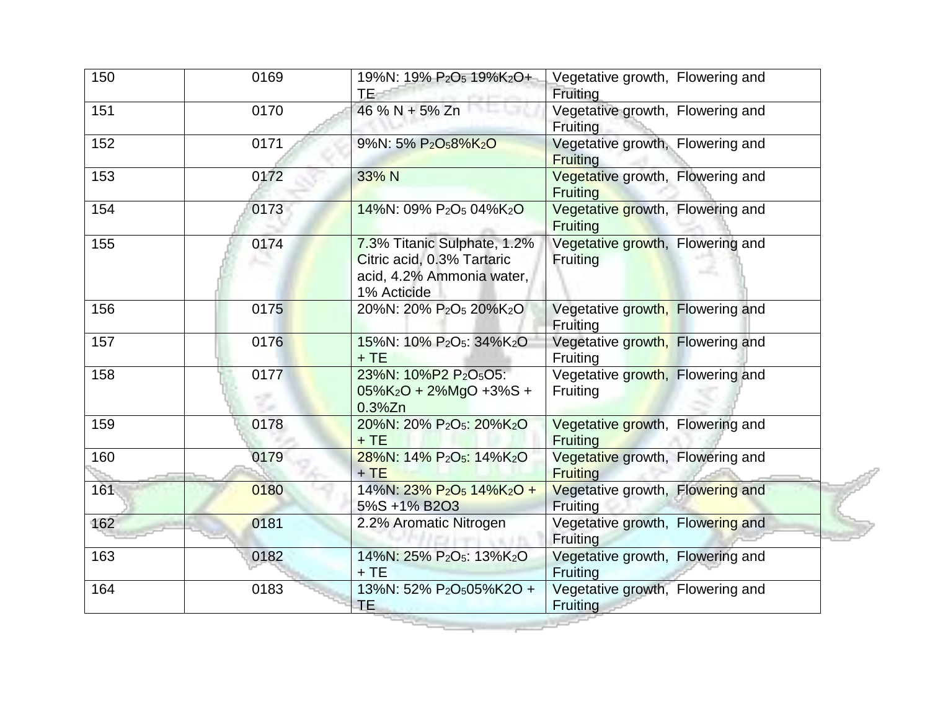| 150 | 0169 | 19%N: 19% P <sub>2</sub> O <sub>5</sub> 19%K <sub>2</sub> O+<br>TE.                                   | Vegetative growth, Flowering and<br>Fruiting        |
|-----|------|-------------------------------------------------------------------------------------------------------|-----------------------------------------------------|
| 151 | 0170 | 46 % N + 5% Zn                                                                                        | Vegetative growth, Flowering and<br>Fruiting        |
| 152 | 0171 | 9%N: 5% P <sub>2</sub> O <sub>5</sub> 8%K <sub>2</sub> O                                              | Vegetative growth, Flowering and<br><b>Fruiting</b> |
| 153 | 0172 | 33% N                                                                                                 | Vegetative growth, Flowering and<br><b>Fruiting</b> |
| 154 | 0173 | 14%N: 09% P <sub>2</sub> O <sub>5</sub> 04%K <sub>2</sub> O                                           | Vegetative growth, Flowering and<br><b>Fruiting</b> |
| 155 | 0174 | 7.3% Titanic Sulphate, 1.2%<br>Citric acid, 0.3% Tartaric<br>acid, 4.2% Ammonia water,<br>1% Acticide | Vegetative growth, Flowering and<br><b>Fruiting</b> |
| 156 | 0175 | 20%N: 20% P <sub>2</sub> O <sub>5</sub> 20%K <sub>2</sub> O                                           | Vegetative growth, Flowering and<br>Fruiting        |
| 157 | 0176 | 15%N: 10% P <sub>2</sub> O <sub>5</sub> : 34%K <sub>2</sub> O<br>$+TE$                                | Vegetative growth, Flowering and<br>Fruiting        |
| 158 | 0177 | 23%N: 10%P2 P2O <sub>5</sub> O5:<br>$05\%K_2O + 2\%MgO + 3\%S +$<br>$0.3\%$ Zn                        | Vegetative growth, Flowering and<br>Fruiting        |
| 159 | 0178 | 20%N: 20% P <sub>2</sub> O <sub>5</sub> : 20%K <sub>2</sub> O<br>$+TE$                                | Vegetative growth, Flowering and<br><b>Fruiting</b> |
| 160 | 0179 | 28%N: 14% P <sub>2</sub> O <sub>5</sub> : 14%K <sub>2</sub> O<br>$+TE$                                | Vegetative growth, Flowering and<br><b>Fruiting</b> |
| 161 | 0180 | $14\%$ N: $23\%$ P <sub>2</sub> O <sub>5</sub> $14\%$ K <sub>2</sub> O +<br>5%S +1% B2O3              | Vegetative growth, Flowering and<br>Fruiting        |
| 162 | 0181 | 2.2% Aromatic Nitrogen                                                                                | Vegetative growth, Flowering and<br>Fruiting        |
| 163 | 0182 | 14%N: 25% P <sub>2</sub> O <sub>5</sub> : 13%K <sub>2</sub> O<br>$+TE$                                | Vegetative growth, Flowering and<br>Fruiting        |
| 164 | 0183 | 13%N: 52% P <sub>2</sub> O <sub>5</sub> 05%K2O +<br>TE                                                | Vegetative growth, Flowering and<br>Fruiting        |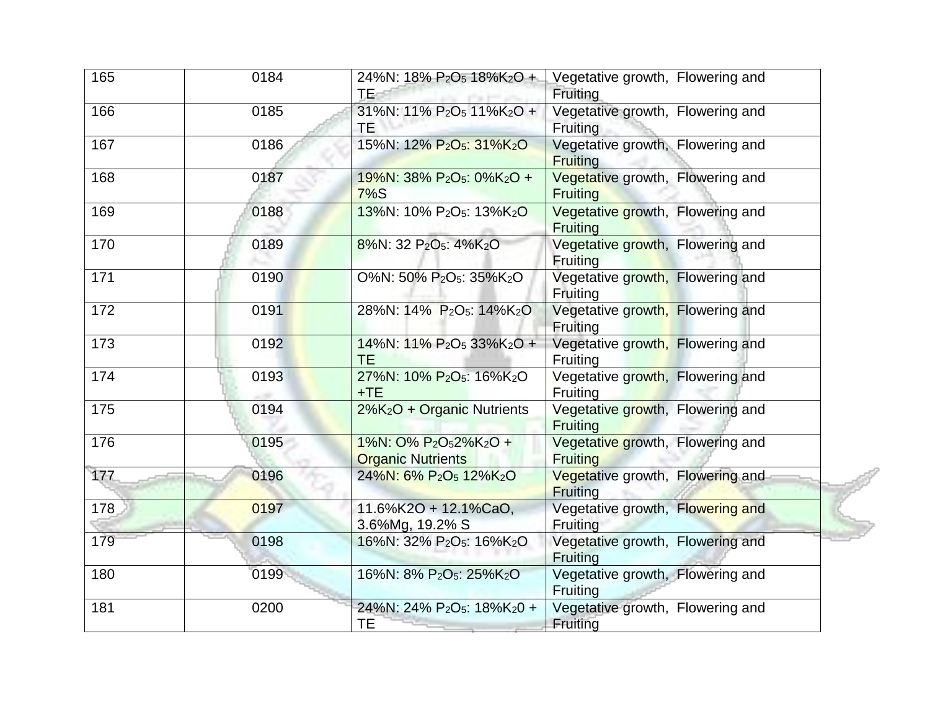| 165 | 0184 | 24%N: 18% P <sub>2</sub> O <sub>5</sub> 18%K <sub>2</sub> O +<br><b>TE</b>             | Vegetative growth, Flowering and<br>Fruiting        |
|-----|------|----------------------------------------------------------------------------------------|-----------------------------------------------------|
| 166 | 0185 | 31%N: 11% P <sub>2</sub> O <sub>5</sub> 11%K <sub>2</sub> O +<br>TE                    | Vegetative growth, Flowering and<br>Fruiting        |
| 167 | 0186 | 15%N: 12% P <sub>2</sub> O <sub>5</sub> : 31%K <sub>2</sub> O                          | Vegetative growth, Flowering and<br><b>Fruiting</b> |
| 168 | 0187 | 19%N: 38% P <sub>2</sub> O <sub>5</sub> : 0%K <sub>2</sub> O +<br>$7\%$ S              | Vegetative growth, Flowering and<br>Fruiting        |
| 169 | 0188 | 13%N: 10% P <sub>2</sub> O <sub>5</sub> : 13%K <sub>2</sub> O                          | Vegetative growth, Flowering and<br><b>Fruiting</b> |
| 170 | 0189 | 8%N: 32 P <sub>2</sub> O <sub>5</sub> : 4%K <sub>2</sub> O                             | Vegetative growth, Flowering and<br><b>Fruiting</b> |
| 171 | 0190 | O%N: 50% P2O5: 35%K2O                                                                  | Vegetative growth, Flowering and<br>Fruiting        |
| 172 | 0191 | 28%N: 14% P <sub>2</sub> O <sub>5</sub> : 14%K <sub>2</sub> O                          | Vegetative growth, Flowering and<br>Fruiting        |
| 173 | 0192 | 14%N: 11% P <sub>2</sub> O <sub>5</sub> 33%K <sub>2</sub> O +<br><b>TE</b>             | Vegetative growth, Flowering and<br>Fruiting        |
| 174 | 0193 | 27%N: 10% P <sub>2</sub> O <sub>5</sub> : 16%K <sub>2</sub> O<br>$+TE$                 | Vegetative growth, Flowering and<br>Fruiting        |
| 175 | 0194 | 2%K <sub>2</sub> O + Organic Nutrients                                                 | Vegetative growth, Flowering and<br><b>Fruiting</b> |
| 176 | 0195 | 1%N: 0% P <sub>2</sub> O <sub>5</sub> 2%K <sub>2</sub> O +<br><b>Organic Nutrients</b> | Vegetative growth, Flowering and<br><b>Fruiting</b> |
| 177 | 0196 | 24%N: 6% P <sub>2</sub> O <sub>5</sub> 12%K <sub>2</sub> O                             | Vegetative growth, Flowering and<br><b>Fruiting</b> |
| 178 | 0197 | 11.6%K2O + 12.1%CaO,<br>3.6%Mg, 19.2% S                                                | Vegetative growth, Flowering and<br>Fruiting        |
| 179 | 0198 | 16%N: 32% P <sub>2</sub> O <sub>5</sub> : 16%K <sub>2</sub> O                          | Vegetative growth, Flowering and<br>Fruiting        |
| 180 | 0199 | 16%N: 8% P <sub>2</sub> O <sub>5</sub> : 25%K <sub>2</sub> O                           | Vegetative growth, Flowering and<br>Fruiting        |
| 181 | 0200 | 24%N: 24% P <sub>2</sub> O <sub>5</sub> : 18%K <sub>2</sub> 0 +<br>TЕ                  | Vegetative growth, Flowering and<br>Fruiting        |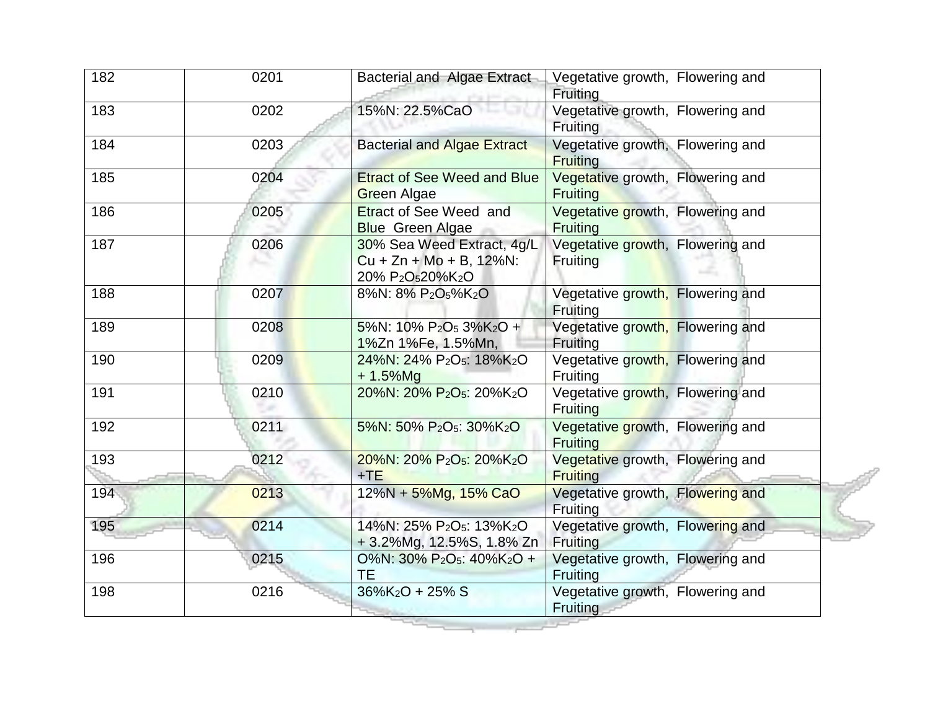| 182 | 0201 | <b>Bacterial and Algae Extract</b>                                                                                | Vegetative growth, Flowering and<br>Fruiting        |
|-----|------|-------------------------------------------------------------------------------------------------------------------|-----------------------------------------------------|
| 183 | 0202 | 15%N: 22.5%CaO                                                                                                    | Vegetative growth, Flowering and<br>Fruiting        |
| 184 | 0203 | <b>Bacterial and Algae Extract</b>                                                                                | Vegetative growth, Flowering and<br><b>Fruiting</b> |
| 185 | 0204 | <b>Etract of See Weed and Blue</b><br><b>Green Algae</b>                                                          | Vegetative growth, Flowering and<br><b>Fruiting</b> |
| 186 | 0205 | <b>Etract of See Weed and</b><br><b>Blue</b> Green Algae                                                          | Vegetative growth, Flowering and<br><b>Fruiting</b> |
| 187 | 0206 | 30% Sea Weed Extract, 4g/L<br>$Cu + Zn + Mo + B$ , 12%N:<br>20% P <sub>2</sub> O <sub>5</sub> 20%K <sub>2</sub> O | Vegetative growth, Flowering and<br><b>Fruiting</b> |
| 188 | 0207 | 8%N: 8% P <sub>2</sub> O <sub>5</sub> %K <sub>2</sub> O                                                           | Vegetative growth, Flowering and<br>Fruiting        |
| 189 | 0208 | 5%N: 10% $P_2O_5$ 3%K <sub>2</sub> O +<br>1%Zn 1%Fe, 1.5%Mn,                                                      | Vegetative growth, Flowering and<br>Fruiting        |
| 190 | 0209 | 24%N: 24% P <sub>2</sub> O <sub>5</sub> : 18%K <sub>2</sub> O<br>$+1.5\%$ Mg                                      | Vegetative growth, Flowering and<br><b>Fruiting</b> |
| 191 | 0210 | 20%N: 20% P <sub>2</sub> O <sub>5</sub> : 20%K <sub>2</sub> O                                                     | Vegetative growth, Flowering and<br><b>Fruiting</b> |
| 192 | 0211 | 5%N: 50% P <sub>2</sub> O <sub>5</sub> : 30%K <sub>2</sub> O                                                      | Vegetative growth, Flowering and<br><b>Fruiting</b> |
| 193 | 0212 | 20%N: 20% P <sub>2</sub> O <sub>5</sub> : 20%K <sub>2</sub> O<br>$+TE$                                            | Vegetative growth, Flowering and<br><b>Fruiting</b> |
| 194 | 0213 | 12%N + 5%Mg, 15% CaO                                                                                              | Vegetative growth, Flowering and<br>Fruiting        |
| 195 | 0214 | 14%N: 25% P <sub>2</sub> O <sub>5</sub> : 13%K <sub>2</sub> O<br>+3.2%Mg, 12.5%S, 1.8% Zn                         | Vegetative growth, Flowering and<br><b>Fruiting</b> |
| 196 | 0215 | O%N: 30% P <sub>2</sub> O <sub>5</sub> : 40%K <sub>2</sub> O +<br>TE                                              | Vegetative growth, Flowering and<br>Fruiting        |
| 198 | 0216 | $36\%K_2O + 25\% S$                                                                                               | Vegetative growth, Flowering and<br>Fruiting        |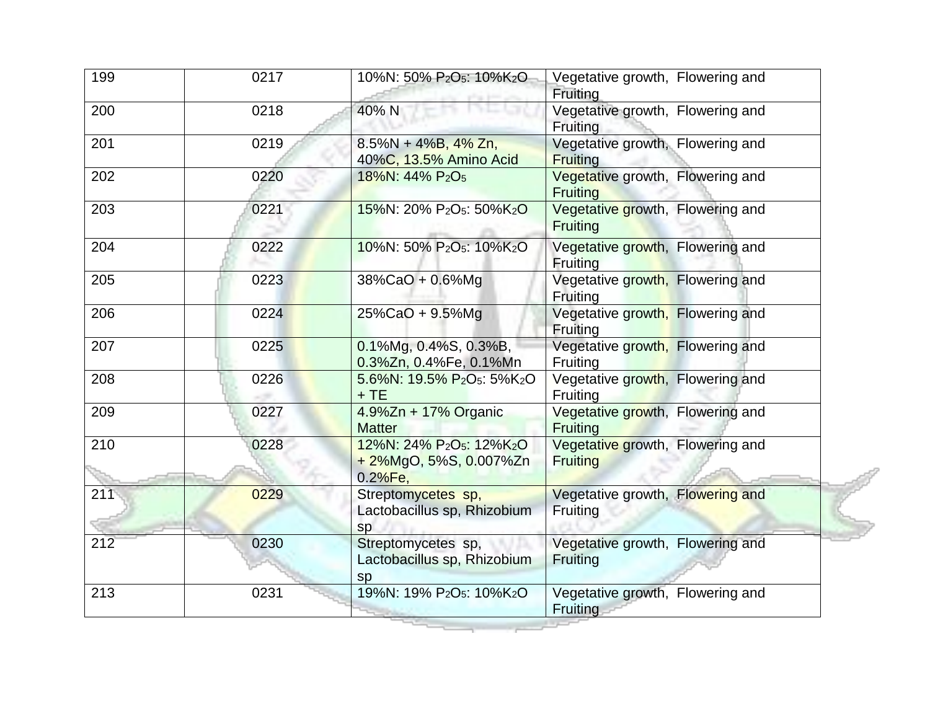| 199 | 0217 | 10%N: 50% P <sub>2</sub> O <sub>5</sub> : 10%K <sub>2</sub> O                                      | Vegetative growth, Flowering and<br>Fruiting        |
|-----|------|----------------------------------------------------------------------------------------------------|-----------------------------------------------------|
| 200 | 0218 | 40% N                                                                                              | Vegetative growth, Flowering and<br><b>Fruiting</b> |
| 201 | 0219 | $8.5\%N + 4\%B, 4\%Zn,$<br>40%C, 13.5% Amino Acid                                                  | Vegetative growth, Flowering and<br><b>Fruiting</b> |
| 202 | 0220 | 18%N: 44% P <sub>2</sub> O <sub>5</sub>                                                            | Vegetative growth, Flowering and<br>Fruiting        |
| 203 | 0221 | 15%N: 20% P <sub>2</sub> O <sub>5</sub> : 50%K <sub>2</sub> O                                      | Vegetative growth, Flowering and<br><b>Fruiting</b> |
| 204 | 0222 | 10%N: 50% P <sub>2</sub> O <sub>5</sub> : 10%K <sub>2</sub> O                                      | Vegetative growth, Flowering and<br><b>Fruiting</b> |
| 205 | 0223 | 38%CaO + 0.6%Mg                                                                                    | Vegetative growth, Flowering and<br>Fruiting        |
| 206 | 0224 | 25%CaO + 9.5%Mg                                                                                    | Vegetative growth, Flowering and<br>Fruiting        |
| 207 | 0225 | $0.1\%$ Mg, 0.4%S, 0.3%B,<br>0.3%Zn, 0.4%Fe, 0.1%Mn                                                | Vegetative growth, Flowering and<br>Fruiting        |
| 208 | 0226 | 5.6%N: 19.5% P <sub>2</sub> O <sub>5</sub> : 5%K <sub>2</sub> O<br>$+TE$                           | Vegetative growth, Flowering and<br>Fruiting        |
| 209 | 0227 | 4.9%Zn + 17% Organic<br><b>Matter</b>                                                              | Vegetative growth, Flowering and<br>Fruiting        |
| 210 | 0228 | 12%N: 24% P <sub>2</sub> O <sub>5</sub> : 12%K <sub>2</sub> O<br>+ 2%MgO, 5%S, 0.007%Zn<br>0.2%Fe, | Vegetative growth, Flowering and<br><b>Fruiting</b> |
| 211 | 0229 | Streptomycetes sp,<br>Lactobacillus sp, Rhizobium<br>sp                                            | Vegetative growth, Flowering and<br>Fruiting        |
| 212 | 0230 | Streptomycetes sp,<br>Lactobacillus sp, Rhizobium<br>sp                                            | Vegetative growth, Flowering and<br>Fruiting        |
| 213 | 0231 | 19%N: 19% P <sub>2</sub> O <sub>5</sub> : 10%K <sub>2</sub> O                                      | Vegetative growth, Flowering and<br>Fruiting        |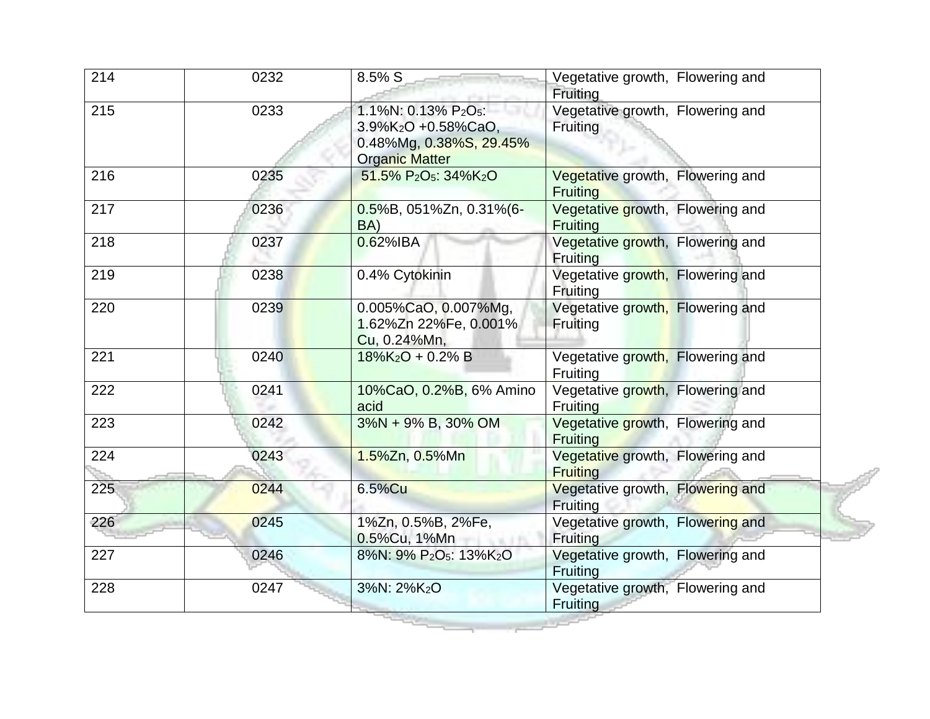| 214 | 0232 | 8.5% S                                                                                                                 | Vegetative growth, Flowering and<br>Fruiting        |
|-----|------|------------------------------------------------------------------------------------------------------------------------|-----------------------------------------------------|
| 215 | 0233 | 1.1%N: 0.13% P2O <sub>5</sub> :<br>3.9%K <sub>2</sub> O +0.58%CaO,<br>0.48%Mg, 0.38%S, 29.45%<br><b>Organic Matter</b> | Vegetative growth, Flowering and<br>Fruiting        |
| 216 | 0235 | 51.5% P <sub>2</sub> O <sub>5</sub> : 34%K <sub>2</sub> O                                                              | Vegetative growth, Flowering and<br><b>Fruiting</b> |
| 217 | 0236 | 0.5%B, 051%Zn, 0.31%(6-<br>BA)                                                                                         | Vegetative growth, Flowering and<br><b>Fruiting</b> |
| 218 | 0237 | 0.62%IBA                                                                                                               | Vegetative growth, Flowering and<br><b>Fruiting</b> |
| 219 | 0238 | 0.4% Cytokinin                                                                                                         | Vegetative growth, Flowering and<br>Fruiting        |
| 220 | 0239 | 0.005%CaO, 0.007%Mg,<br>1.62%Zn 22%Fe, 0.001%<br>Cu, 0.24%Mn,                                                          | Vegetative growth, Flowering and<br>Fruiting        |
| 221 | 0240 | $18\%K_2O + 0.2\% B$                                                                                                   | Vegetative growth, Flowering and<br>Fruiting        |
| 222 | 0241 | 10%CaO, 0.2%B, 6% Amino<br>acid                                                                                        | Vegetative growth, Flowering and<br><b>Fruiting</b> |
| 223 | 0242 | $3\%N + 9\%B$ , 30% OM                                                                                                 | Vegetative growth, Flowering and<br>Fruiting        |
| 224 | 0243 | 1.5%Zn, 0.5%Mn                                                                                                         | Vegetative growth, Flowering and<br><b>Fruiting</b> |
| 225 | 0244 | 6.5%Cu                                                                                                                 | Vegetative growth, Flowering and<br>Fruiting        |
| 226 | 0245 | 1%Zn, 0.5%B, 2%Fe,<br>0.5%Cu, 1%Mn                                                                                     | Vegetative growth, Flowering and<br>Fruiting        |
| 227 | 0246 | 8%N: 9% P <sub>2</sub> O <sub>5</sub> : 13%K <sub>2</sub> O                                                            | Vegetative growth, Flowering and<br>Fruiting        |
| 228 | 0247 | 3%N: 2%K <sub>2</sub> O                                                                                                | Vegetative growth, Flowering and<br>Fruiting        |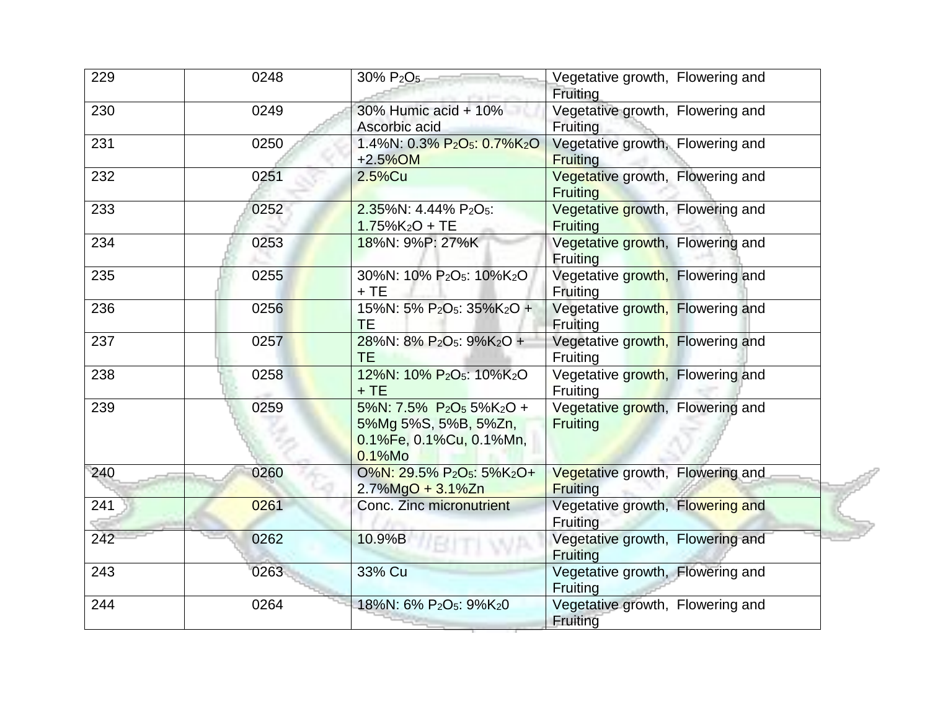| 229 | 0248 | 30% P <sub>2</sub> O <sub>5</sub>                                                                                            | Vegetative growth, Flowering and<br>Fruiting        |
|-----|------|------------------------------------------------------------------------------------------------------------------------------|-----------------------------------------------------|
| 230 | 0249 | 30% Humic acid + 10%<br>Ascorbic acid                                                                                        | Vegetative growth, Flowering and<br>Fruiting        |
| 231 | 0250 | 1.4%N: 0.3% P <sub>2</sub> O <sub>5</sub> : 0.7%K <sub>2</sub> O<br>$+2.5\%$ OM                                              | Vegetative growth, Flowering and<br><b>Fruiting</b> |
| 232 | 0251 | $2.5\%$ Cu                                                                                                                   | Vegetative growth, Flowering and<br><b>Fruiting</b> |
| 233 | 0252 | 2.35%N: 4.44% P2O <sub>5</sub> :<br>$1.75\%K_2O + TE$                                                                        | Vegetative growth, Flowering and<br><b>Fruiting</b> |
| 234 | 0253 | 18%N: 9%P: 27%K                                                                                                              | Vegetative growth, Flowering and<br><b>Fruiting</b> |
| 235 | 0255 | 30%N: 10% P <sub>2</sub> O <sub>5</sub> : 10%K <sub>2</sub> O<br>$+TE$                                                       | Vegetative growth, Flowering and<br>Fruiting        |
| 236 | 0256 | 15%N: 5% P <sub>2</sub> O <sub>5</sub> : 35%K <sub>2</sub> O +<br>TE                                                         | Vegetative growth, Flowering and<br>Fruiting        |
| 237 | 0257 | 28%N: 8% P <sub>2</sub> O <sub>5</sub> : 9%K <sub>2</sub> O +<br><b>TE</b>                                                   | Vegetative growth, Flowering and<br>Fruiting        |
| 238 | 0258 | 12%N: 10% P <sub>2</sub> O <sub>5</sub> : 10%K <sub>2</sub> O<br>$+TE$                                                       | Vegetative growth, Flowering and<br>Fruiting        |
| 239 | 0259 | 5%N: 7.5% P <sub>2</sub> O <sub>5</sub> 5%K <sub>2</sub> O +<br>5%Mg 5%S, 5%B, 5%Zn,<br>0.1%Fe, 0.1%Cu, 0.1%Mn,<br>$0.1%$ Mo | Vegetative growth, Flowering and<br>Fruiting        |
| 240 | 0260 | 0%N: 29.5% P <sub>2</sub> O <sub>5</sub> : 5%K <sub>2</sub> O+<br>$2.7\%$ MgO + $3.1\%$ Zn                                   | Vegetative growth, Flowering and<br><b>Fruiting</b> |
| 241 | 0261 | Conc. Zinc micronutrient                                                                                                     | Vegetative growth, Flowering and<br>Fruiting        |
| 242 | 0262 | 10.9%B                                                                                                                       | Vegetative growth, Flowering and<br>Fruiting        |
| 243 | 0263 | 33% Cu                                                                                                                       | Vegetative growth, Flowering and<br>Fruiting        |
| 244 | 0264 | 18%N: 6% P <sub>2</sub> O <sub>5</sub> : 9%K <sub>2</sub> 0                                                                  | Vegetative growth, Flowering and<br><b>Fruiting</b> |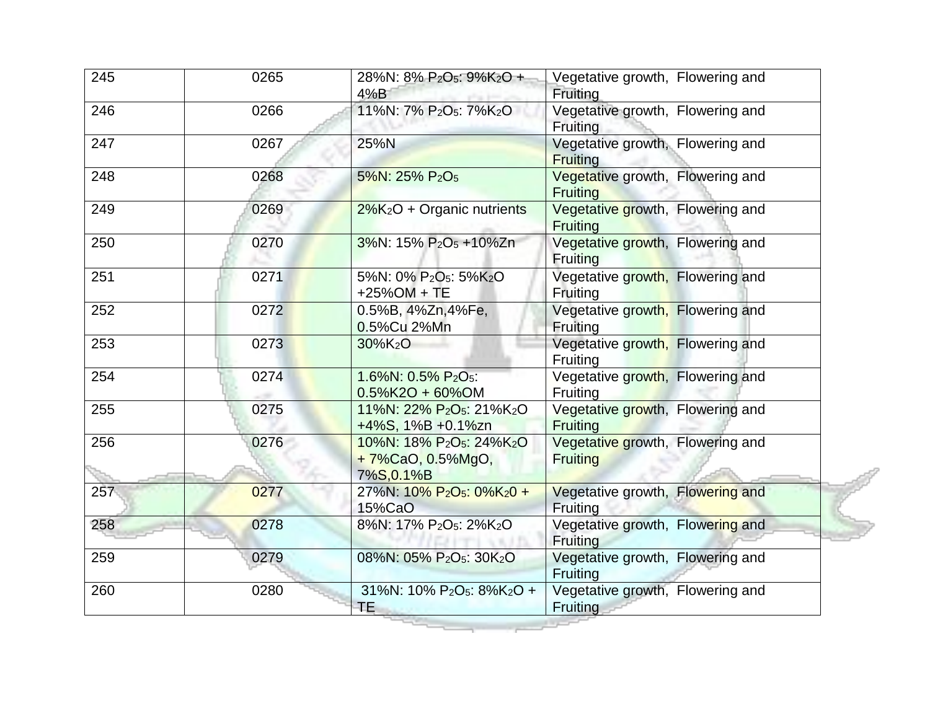| 245 | 0265 | 28%N: 8% P <sub>2</sub> O <sub>5</sub> : 9%K <sub>2</sub> O +<br>4%B                            | Vegetative growth, Flowering and<br>Fruiting        |
|-----|------|-------------------------------------------------------------------------------------------------|-----------------------------------------------------|
| 246 | 0266 | 11%N: 7% P <sub>2</sub> O <sub>5</sub> : 7%K <sub>2</sub> O                                     | Vegetative growth, Flowering and<br><b>Fruiting</b> |
| 247 | 0267 | 25%N                                                                                            | Vegetative growth, Flowering and<br><b>Fruiting</b> |
| 248 | 0268 | 5%N: 25% P <sub>2</sub> O <sub>5</sub>                                                          | Vegetative growth, Flowering and<br><b>Fruiting</b> |
| 249 | 0269 | $2\%K_2O$ + Organic nutrients                                                                   | Vegetative growth, Flowering and<br><b>Fruiting</b> |
| 250 | 0270 | 3%N: 15% P <sub>2</sub> O <sub>5</sub> +10%Zn                                                   | Vegetative growth, Flowering and<br><b>Fruiting</b> |
| 251 | 0271 | 5%N: 0% P <sub>2</sub> O <sub>5</sub> : 5%K <sub>2</sub> O<br>$+25%$ OM + TE                    | Vegetative growth, Flowering and<br>Fruiting        |
| 252 | 0272 | 0.5%B, 4%Zn, 4%Fe,<br>0.5%Cu 2%Mn                                                               | Vegetative growth, Flowering and<br>Fruiting        |
| 253 | 0273 | $30\%K_2O$                                                                                      | Vegetative growth, Flowering and<br><b>Fruiting</b> |
| 254 | 0274 | 1.6%N: 0.5% P2O <sub>5</sub> :<br>$0.5\%$ K2O + 60%OM                                           | Vegetative growth, Flowering and<br><b>Fruiting</b> |
| 255 | 0275 | 11%N: 22% P <sub>2</sub> O <sub>5</sub> : 21%K <sub>2</sub> O<br>+4%S, 1%B +0.1%zn              | Vegetative growth, Flowering and<br><b>Fruiting</b> |
| 256 | 0276 | 10%N: 18% P <sub>2</sub> O <sub>5</sub> : 24%K <sub>2</sub> O<br>+7%CaO, 0.5%MgO,<br>7%S, 0.1%B | Vegetative growth, Flowering and<br><b>Fruiting</b> |
| 257 | 0277 | 27%N: 10% P <sub>2</sub> O <sub>5</sub> : 0%K <sub>2</sub> 0 +<br>15%CaO                        | Vegetative growth, Flowering and<br>Fruiting        |
| 258 | 0278 | 8%N: 17% P <sub>2</sub> O <sub>5</sub> : 2%K <sub>2</sub> O                                     | Vegetative growth, Flowering and<br><b>Fruiting</b> |
| 259 | 0279 | 08%N: 05% P <sub>2</sub> O <sub>5</sub> : 30K <sub>2</sub> O                                    | Vegetative growth, Flowering and<br>Fruiting        |
| 260 | 0280 | 31%N: 10% P <sub>2</sub> O <sub>5</sub> : 8%K <sub>2</sub> O +<br>TE.                           | Vegetative growth, Flowering and<br>Fruiting        |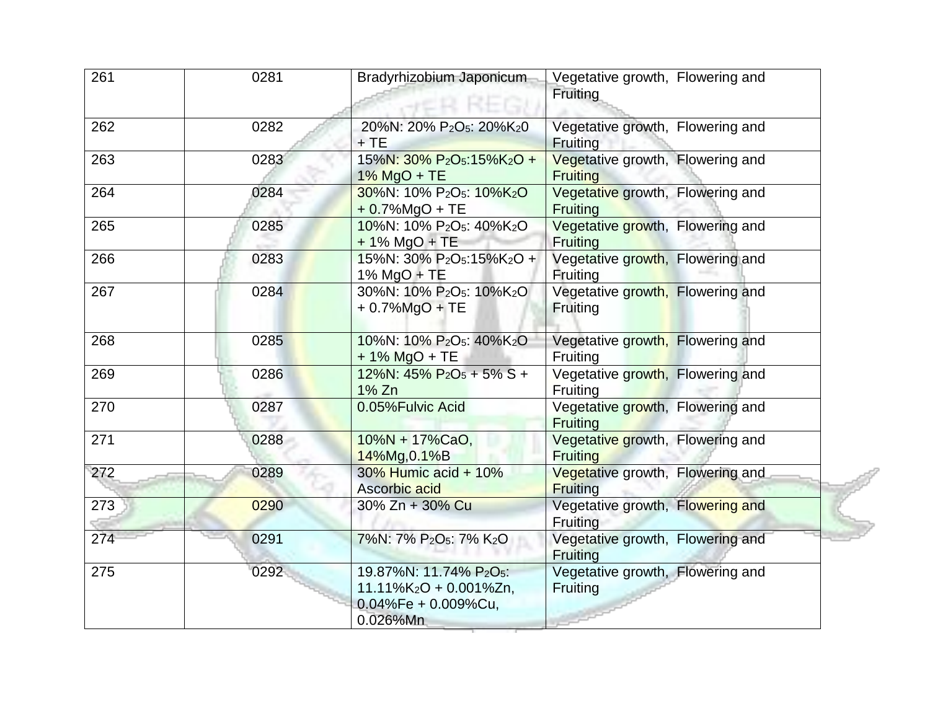| 261 | 0281 | Bradyrhizobium Japonicum                                                                                              | Vegetative growth, Flowering and<br>Fruiting        |
|-----|------|-----------------------------------------------------------------------------------------------------------------------|-----------------------------------------------------|
| 262 | 0282 | 20%N: 20% P <sub>2</sub> O <sub>5</sub> : 20%K <sub>2</sub> 0<br>$+TE$                                                | Vegetative growth, Flowering and<br>Fruiting        |
| 263 | 0283 | 15%N: 30% P <sub>2</sub> O <sub>5</sub> :15%K <sub>2</sub> O +<br>$1\%$ MgO + TE                                      | Vegetative growth, Flowering and<br><b>Fruiting</b> |
| 264 | 0284 | 30%N: 10% P <sub>2</sub> O <sub>5</sub> : 10%K <sub>2</sub> O<br>$+0.7%$ MgO + TE                                     | Vegetative growth, Flowering and<br>Fruiting        |
| 265 | 0285 | 10%N: 10% P <sub>2</sub> O <sub>5</sub> : 40%K <sub>2</sub> O<br>$+ 1\%$ MgO + TE                                     | Vegetative growth, Flowering and<br>Fruiting        |
| 266 | 0283 | 15%N: 30% P <sub>2</sub> O <sub>5</sub> :15%K <sub>2</sub> O +<br>$1\%$ MgO + TE                                      | Vegetative growth, Flowering and<br>Fruiting        |
| 267 | 0284 | 30%N: 10% P <sub>2</sub> O <sub>5</sub> : 10%K <sub>2</sub> O<br>$+0.7\%$ MgO + TE                                    | Vegetative growth, Flowering and<br>Fruiting        |
| 268 | 0285 | 10%N: 10% P <sub>2</sub> O <sub>5</sub> : 40%K <sub>2</sub> O<br>+ 1% MgO + TE                                        | Vegetative growth, Flowering and<br>Fruiting        |
| 269 | 0286 | 12%N: $45\%$ P <sub>2</sub> O <sub>5</sub> + 5% S +<br>1% Zn                                                          | Vegetative growth, Flowering and<br><b>Fruiting</b> |
| 270 | 0287 | 0.05%Fulvic Acid                                                                                                      | Vegetative growth, Flowering and<br><b>Fruiting</b> |
| 271 | 0288 | $10\%N + 17\%CaO,$<br>14%Mg, 0.1%B                                                                                    | Vegetative growth, Flowering and<br><b>Fruiting</b> |
| 272 | 0289 | $30\%$ Humic acid + 10%<br>Ascorbic acid                                                                              | Vegetative growth, Flowering and<br><b>Fruiting</b> |
| 273 | 0290 | 30% Zn + 30% Cu                                                                                                       | Vegetative growth, Flowering and<br>Fruiting        |
| 274 | 0291 | 7%N: 7% P2O5: 7% K2O                                                                                                  | Vegetative growth, Flowering and<br><b>Fruiting</b> |
| 275 | 0292 | 19.87%N: 11.74% P <sub>2</sub> O <sub>5</sub> :<br>$11.11\%K_2O + 0.001\%Zn$ ,<br>$0.04\%Fe + 0.009\%Cu,$<br>0.026%Mn | Vegetative growth, Flowering and<br>Fruiting        |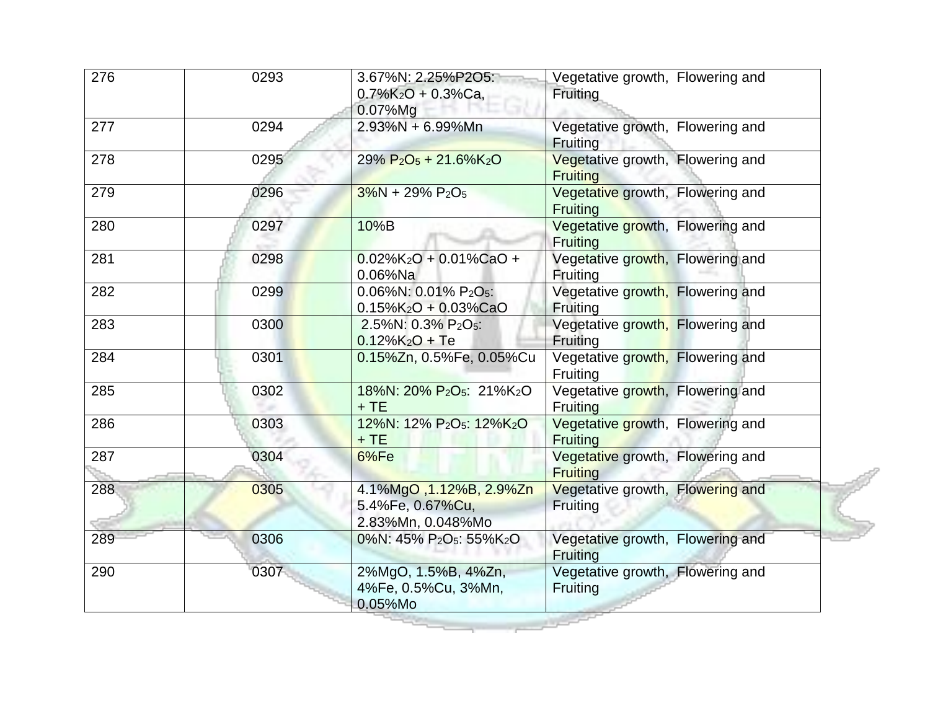| 276 | 0293 | 3.67%N: 2.25%P2O5:<br>$0.7\%K_2O + 0.3\%Ca$<br>$0.07\%$ Mg                            | Vegetative growth, Flowering and<br>Fruiting        |
|-----|------|---------------------------------------------------------------------------------------|-----------------------------------------------------|
| 277 | 0294 | $2.93\%N + 6.99\%Mn$                                                                  | Vegetative growth, Flowering and<br>Fruiting        |
| 278 | 0295 | $29\% P_2O_5 + 21.6\%K_2O$                                                            | Vegetative growth, Flowering and<br><b>Fruiting</b> |
| 279 | 0296 | $3\%N + 29\% P_2O_5$                                                                  | Vegetative growth, Flowering and<br>Fruiting        |
| 280 | 0297 | 10%B                                                                                  | Vegetative growth, Flowering and<br>Fruiting        |
| 281 | 0298 | $0.02\%$ K <sub>2</sub> O + 0.01%CaO +<br>$0.06%$ Na                                  | Vegetative growth, Flowering and<br>Fruiting        |
| 282 | 0299 | 0.06%N: 0.01% P <sub>2</sub> O <sub>5</sub> :<br>$0.15\%$ K <sub>2</sub> O + 0.03%CaO | Vegetative growth, Flowering and<br>Fruiting        |
| 283 | 0300 | 2.5%N: 0.3% P <sub>2</sub> O <sub>5</sub> :<br>$0.12\%K_2O + Te$                      | Vegetative growth, Flowering and<br>Fruiting        |
| 284 | 0301 | 0.15%Zn, 0.5%Fe, 0.05%Cu                                                              | Vegetative growth, Flowering and<br>Fruiting        |
| 285 | 0302 | 18%N: 20% P <sub>2</sub> O <sub>5</sub> : 21%K <sub>2</sub> O<br>$+TE$                | Vegetative growth, Flowering and<br>Fruiting        |
| 286 | 0303 | 12%N: 12% P <sub>2</sub> O <sub>5</sub> : 12%K <sub>2</sub> O<br>$+TE$                | Vegetative growth, Flowering and<br><b>Fruiting</b> |
| 287 | 0304 | 6%Fe                                                                                  | Vegetative growth, Flowering and<br><b>Fruiting</b> |
| 288 | 0305 | 4.1%MgO, 1.12%B, 2.9%Zn<br>5.4%Fe, 0.67%Cu,<br>2.83%Mn, 0.048%Mo                      | Vegetative growth, Flowering and<br>Fruiting        |
| 289 | 0306 | 0%N: 45% P <sub>2</sub> O <sub>5</sub> : 55%K <sub>2</sub> O                          | Vegetative growth, Flowering and<br>Fruiting        |
| 290 | 0307 | 2%MgO, 1.5%B, 4%Zn,<br>4%Fe, 0.5%Cu, 3%Mn,<br>0.05%Mo                                 | Vegetative growth, Flowering and<br>Fruiting        |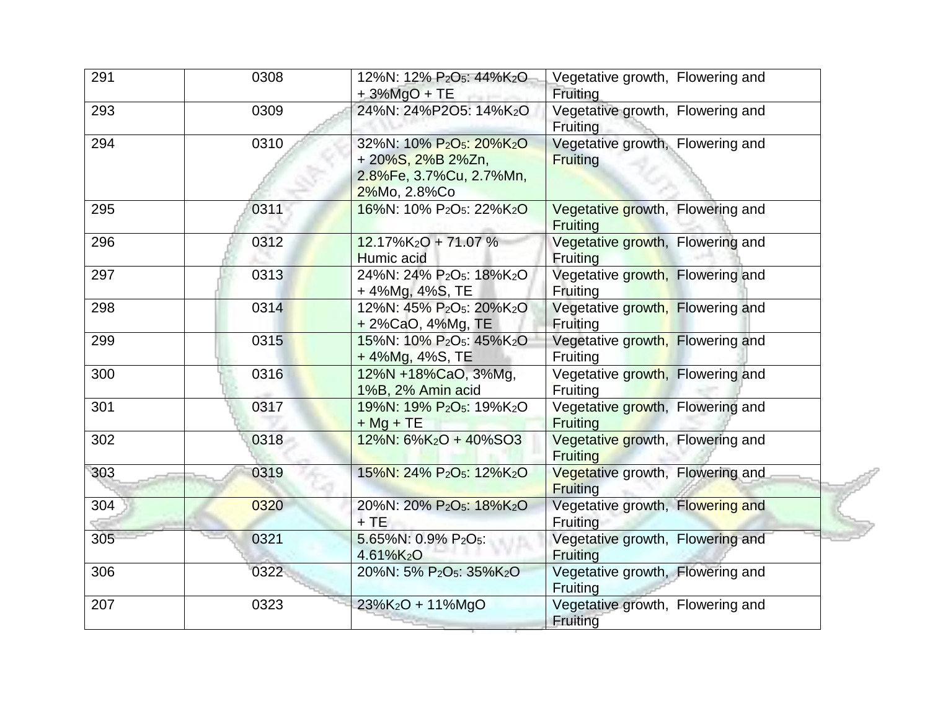| 291 | 0308 | 12%N: 12% P <sub>2</sub> O <sub>5</sub> : 44%K <sub>2</sub> O<br>$+3\%$ MgO + TE                                             | Vegetative growth, Flowering and<br>Fruiting        |
|-----|------|------------------------------------------------------------------------------------------------------------------------------|-----------------------------------------------------|
| 293 | 0309 | 24%N: 24%P2O5: 14%K2O                                                                                                        | Vegetative growth, Flowering and<br><b>Fruiting</b> |
| 294 | 0310 | 32%N: 10% P <sub>2</sub> O <sub>5</sub> : 20%K <sub>2</sub> O<br>+20%S, 2%B 2%Zn,<br>2.8%Fe, 3.7%Cu, 2.7%Mn,<br>2%Mo, 2.8%Co | Vegetative growth, Flowering and<br><b>Fruiting</b> |
| 295 | 0311 | 16%N: 10% P <sub>2</sub> O <sub>5</sub> : 22%K <sub>2</sub> O                                                                | Vegetative growth, Flowering and<br><b>Fruiting</b> |
| 296 | 0312 | $12.17\%K_2O + 71.07\%$<br><b>Humic acid</b>                                                                                 | Vegetative growth, Flowering and<br><b>Fruiting</b> |
| 297 | 0313 | 24%N: 24% P <sub>2</sub> O <sub>5</sub> : 18%K <sub>2</sub> O<br>+4%Mg, 4%S, TE                                              | Vegetative growth, Flowering and<br><b>Fruiting</b> |
| 298 | 0314 | 12%N: 45% P <sub>2</sub> O <sub>5</sub> : 20%K <sub>2</sub> O<br>+ 2%CaO, 4%Mg, TE                                           | Vegetative growth, Flowering and<br>Fruiting        |
| 299 | 0315 | 15%N: 10% P <sub>2</sub> O <sub>5</sub> : 45%K <sub>2</sub> O<br>+4%Mg, 4%S, TE                                              | Vegetative growth, Flowering and<br>Fruiting        |
| 300 | 0316 | 12%N +18%CaO, 3%Mg,<br>1%B, 2% Amin acid                                                                                     | Vegetative growth, Flowering and<br><b>Fruiting</b> |
| 301 | 0317 | 19%N: 19% P <sub>2</sub> O <sub>5</sub> : 19%K <sub>2</sub> O<br>$+ Mg + TE$                                                 | Vegetative growth, Flowering and<br><b>Fruiting</b> |
| 302 | 0318 | $12\%$ N: 6%K <sub>2</sub> O + 40%SO3                                                                                        | Vegetative growth, Flowering and<br><b>Fruiting</b> |
| 303 | 0319 | 15%N: 24% P <sub>2</sub> O <sub>5</sub> : 12%K <sub>2</sub> O                                                                | Vegetative growth, Flowering and<br><b>Fruiting</b> |
| 304 | 0320 | 20%N: 20% P <sub>2</sub> O <sub>5</sub> : 18%K <sub>2</sub> O<br>$+TE$                                                       | Vegetative growth, Flowering and<br>Fruiting        |
| 305 | 0321 | 5.65%N: 0.9% P2O5:<br>4.61%K2O                                                                                               | Vegetative growth, Flowering and<br><b>Fruiting</b> |
| 306 | 0322 | 20%N: 5% P <sub>2</sub> O <sub>5</sub> : 35%K <sub>2</sub> O                                                                 | Vegetative growth, Flowering and<br>Fruiting        |
| 207 | 0323 | 23%K <sub>2</sub> O + 11%MgO                                                                                                 | Vegetative growth, Flowering and<br>Fruiting        |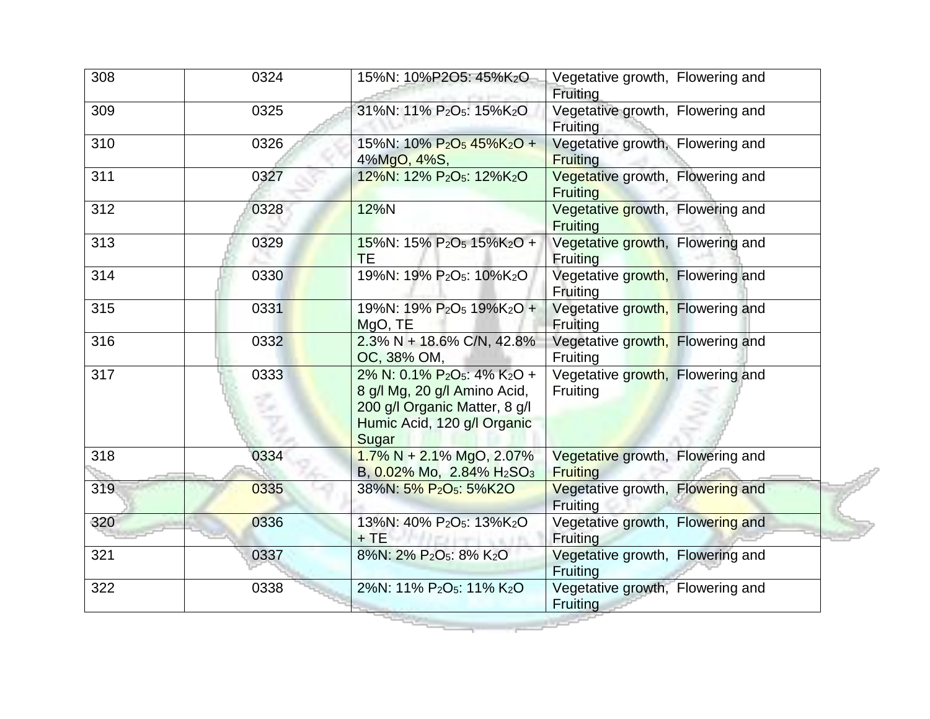| 308 | 0324 | 15%N: 10%P2O5: 45%K2O                                                                                                                                                     | Vegetative growth, Flowering and<br>Fruiting        |
|-----|------|---------------------------------------------------------------------------------------------------------------------------------------------------------------------------|-----------------------------------------------------|
| 309 | 0325 | 31%N: 11% P <sub>2</sub> O <sub>5</sub> : 15%K <sub>2</sub> O                                                                                                             | Vegetative growth, Flowering and<br><b>Fruiting</b> |
| 310 | 0326 | 15%N: 10% $P_2O_5$ 45%K <sub>2</sub> O +<br>4%MgO, 4%S,                                                                                                                   | Vegetative growth, Flowering and<br><b>Fruiting</b> |
| 311 | 0327 | 12%N: 12% P <sub>2</sub> O <sub>5</sub> : 12%K <sub>2</sub> O                                                                                                             | Vegetative growth, Flowering and<br><b>Fruiting</b> |
| 312 | 0328 | 12%N                                                                                                                                                                      | Vegetative growth, Flowering and<br><b>Fruiting</b> |
| 313 | 0329 | 15%N: 15% P <sub>2</sub> O <sub>5</sub> 15%K <sub>2</sub> O +<br><b>TE</b>                                                                                                | Vegetative growth, Flowering and<br><b>Fruiting</b> |
| 314 | 0330 | 19%N: 19% P <sub>2</sub> O <sub>5</sub> : 10%K <sub>2</sub> O                                                                                                             | Vegetative growth, Flowering and<br>Fruiting        |
| 315 | 0331 | 19%N: 19% P <sub>2</sub> O <sub>5</sub> 19%K <sub>2</sub> O +<br>MgO, TE                                                                                                  | Vegetative growth, Flowering and<br>Fruiting        |
| 316 | 0332 | $2.3\% N + 18.6\% C/N$ , 42.8%<br>OC, 38% OM,                                                                                                                             | Vegetative growth, Flowering and<br>Fruiting        |
| 317 | 0333 | 2% N: 0.1% P <sub>2</sub> O <sub>5</sub> : 4% K <sub>2</sub> O +<br>8 g/l Mg, 20 g/l Amino Acid,<br>200 g/l Organic Matter, 8 g/l<br>Humic Acid, 120 g/l Organic<br>Sugar | Vegetative growth, Flowering and<br>Fruiting        |
| 318 | 0334 | $1.7\% N + 2.1\% MgO, 2.07\%$<br>B, 0.02% Mo, 2.84% H <sub>2</sub> SO <sub>3</sub>                                                                                        | Vegetative growth, Flowering and<br><b>Fruiting</b> |
| 319 | 0335 | 38%N: 5% P <sub>2</sub> O <sub>5</sub> : 5%K2O                                                                                                                            | Vegetative growth, Flowering and<br>Fruiting        |
| 320 | 0336 | 13%N: 40% P <sub>2</sub> O <sub>5</sub> : 13%K <sub>2</sub> O<br>$+TE$                                                                                                    | Vegetative growth, Flowering and<br>Fruiting        |
| 321 | 0337 | 8%N: 2% P <sub>2</sub> O <sub>5</sub> : 8% K <sub>2</sub> O                                                                                                               | Vegetative growth, Flowering and<br>Fruiting        |
| 322 | 0338 | 2%N: 11% P <sub>2</sub> O <sub>5</sub> : 11% K <sub>2</sub> O                                                                                                             | Vegetative growth, Flowering and<br><b>Fruiting</b> |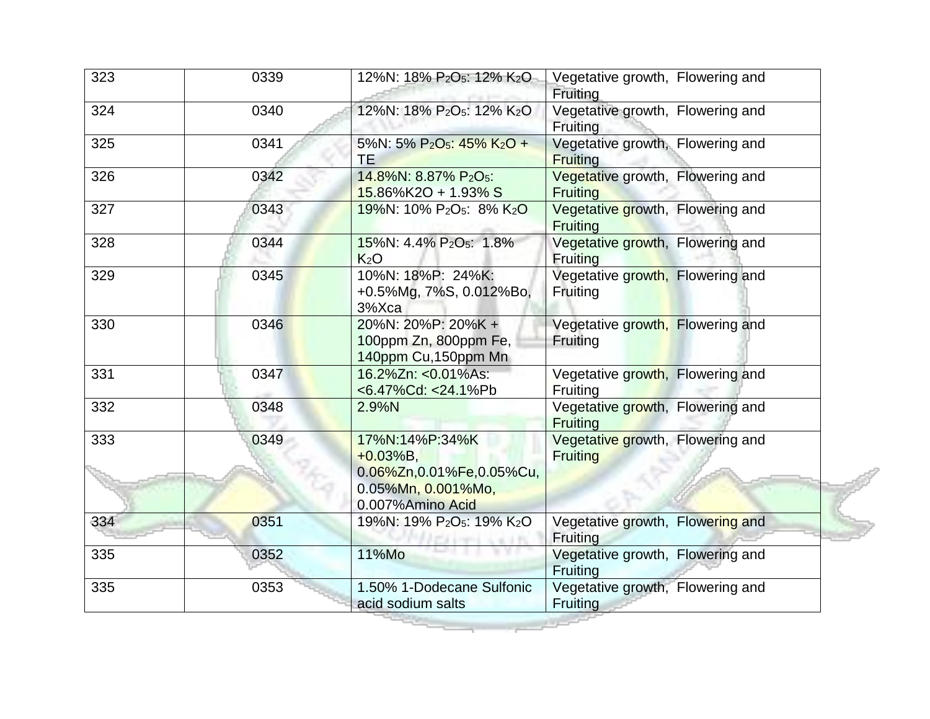| 323 | 0339 | 12%N: 18% P <sub>2</sub> O <sub>5</sub> : 12% K <sub>2</sub> O                                     | Vegetative growth, Flowering and<br>Fruiting        |
|-----|------|----------------------------------------------------------------------------------------------------|-----------------------------------------------------|
| 324 | 0340 | 12%N: 18% P <sub>2</sub> O <sub>5</sub> : 12% K <sub>2</sub> O                                     | Vegetative growth, Flowering and<br>Fruiting        |
| 325 | 0341 | 5%N: 5% P <sub>2</sub> O <sub>5</sub> : 45% K <sub>2</sub> O +<br><b>TE</b>                        | Vegetative growth, Flowering and<br><b>Fruiting</b> |
| 326 | 0342 | 14.8%N: 8.87% P <sub>2</sub> O <sub>5</sub> :<br>$15.86\%$ K2O + 1.93% S                           | Vegetative growth, Flowering and<br><b>Fruiting</b> |
| 327 | 0343 | 19%N: 10% P <sub>2</sub> O <sub>5</sub> : 8% K <sub>2</sub> O                                      | Vegetative growth, Flowering and<br>Fruiting        |
| 328 | 0344 | 15%N: 4.4% P <sub>2</sub> O <sub>5</sub> : 1.8%<br>K <sub>2</sub> O                                | Vegetative growth, Flowering and<br><b>Fruiting</b> |
| 329 | 0345 | 10%N: 18%P: 24%K:<br>+0.5%Mg, 7%S, 0.012%Bo,<br>3%Xca                                              | Vegetative growth, Flowering and<br>Fruiting        |
| 330 | 0346 | 20%N: 20%P: 20%K +<br>100ppm Zn, 800ppm Fe,<br>140ppm Cu, 150ppm Mn                                | Vegetative growth, Flowering and<br>Fruiting        |
| 331 | 0347 | 16.2%Zn: <0.01%As:<br><6.47%Cd: <24.1%Pb                                                           | Vegetative growth, Flowering and<br>Fruiting        |
| 332 | 0348 | 2.9%N                                                                                              | Vegetative growth, Flowering and<br><b>Fruiting</b> |
| 333 | 0349 | 17%N:14%P:34%K<br>$+0.03%B,$<br>0.06%Zn,0.01%Fe,0.05%Cu,<br>0.05%Mn, 0.001%Mo,<br>0.007%Amino Acid | Vegetative growth, Flowering and<br><b>Fruiting</b> |
| 334 | 0351 | 19%N: 19% P <sub>2</sub> O <sub>5</sub> : 19% K <sub>2</sub> O                                     | Vegetative growth, Flowering and<br>Fruiting        |
| 335 | 0352 | 11%Mo                                                                                              | Vegetative growth, Flowering and<br>Fruiting        |
| 335 | 0353 | 1.50% 1-Dodecane Sulfonic<br>acid sodium salts                                                     | Vegetative growth, Flowering and<br>Fruiting        |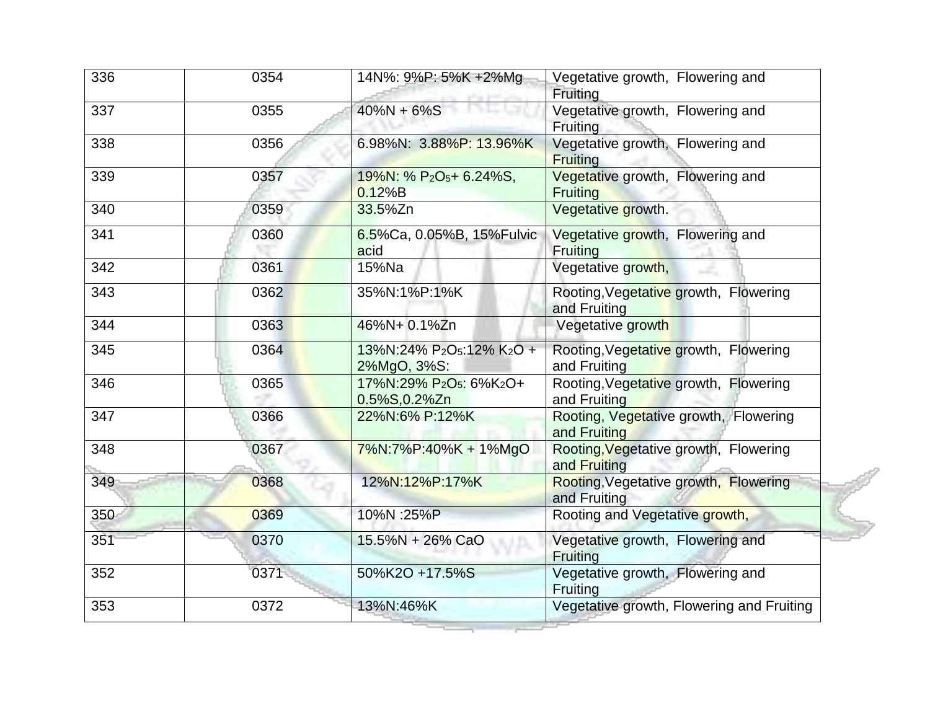| 336 | 0354 | 14N%: 9%P: 5%K +2%Mg                                                          | Vegetative growth, Flowering and<br>Fruiting          |
|-----|------|-------------------------------------------------------------------------------|-------------------------------------------------------|
| 337 | 0355 | $40\%N + 6\%S$                                                                | Vegetative growth, Flowering and<br>Fruiting          |
| 338 | 0356 | 6.98%N: 3.88%P: 13.96%K                                                       | Vegetative growth, Flowering and<br><b>Fruiting</b>   |
| 339 | 0357 | 19%N: % P <sub>2</sub> O <sub>5</sub> + 6.24%S,<br>0.12%B                     | Vegetative growth, Flowering and<br><b>Fruiting</b>   |
| 340 | 0359 | 33.5%Zn                                                                       | Vegetative growth.                                    |
| 341 | 0360 | 6.5%Ca, 0.05%B, 15%Fulvic<br>acid                                             | Vegetative growth, Flowering and<br>Fruiting          |
| 342 | 0361 | 15%Na                                                                         | Vegetative growth,                                    |
| 343 | 0362 | 35%N:1%P:1%K                                                                  | Rooting, Vegetative growth, Flowering<br>and Fruiting |
| 344 | 0363 | 46%N+ 0.1%Zn                                                                  | Vegetative growth                                     |
| 345 | 0364 | 13%N:24% P <sub>2</sub> O <sub>5</sub> :12% K <sub>2</sub> O +<br>2%MgO, 3%S: | Rooting, Vegetative growth, Flowering<br>and Fruiting |
| 346 | 0365 | 17%N:29% P <sub>2</sub> O <sub>5</sub> : 6%K <sub>2</sub> O+<br>0.5%S,0.2%Zn  | Rooting, Vegetative growth, Flowering<br>and Fruiting |
| 347 | 0366 | 22%N:6% P:12%K                                                                | Rooting, Vegetative growth, Flowering<br>and Fruiting |
| 348 | 0367 | 7%N:7%P:40%K + 1%MgO                                                          | Rooting, Vegetative growth, Flowering<br>and Fruiting |
| 349 | 0368 | 12%N:12%P:17%K                                                                | Rooting, Vegetative growth, Flowering<br>and Fruiting |
| 350 | 0369 | 10%N :25%P                                                                    | Rooting and Vegetative growth,                        |
| 351 | 0370 | 15.5%N + 26% CaO                                                              | Vegetative growth, Flowering and<br>Fruiting          |
| 352 | 0371 | 50%K2O +17.5%S                                                                | Vegetative growth, Flowering and<br>Fruiting          |
| 353 | 0372 | 13%N:46%K                                                                     | Vegetative growth, Flowering and Fruiting             |